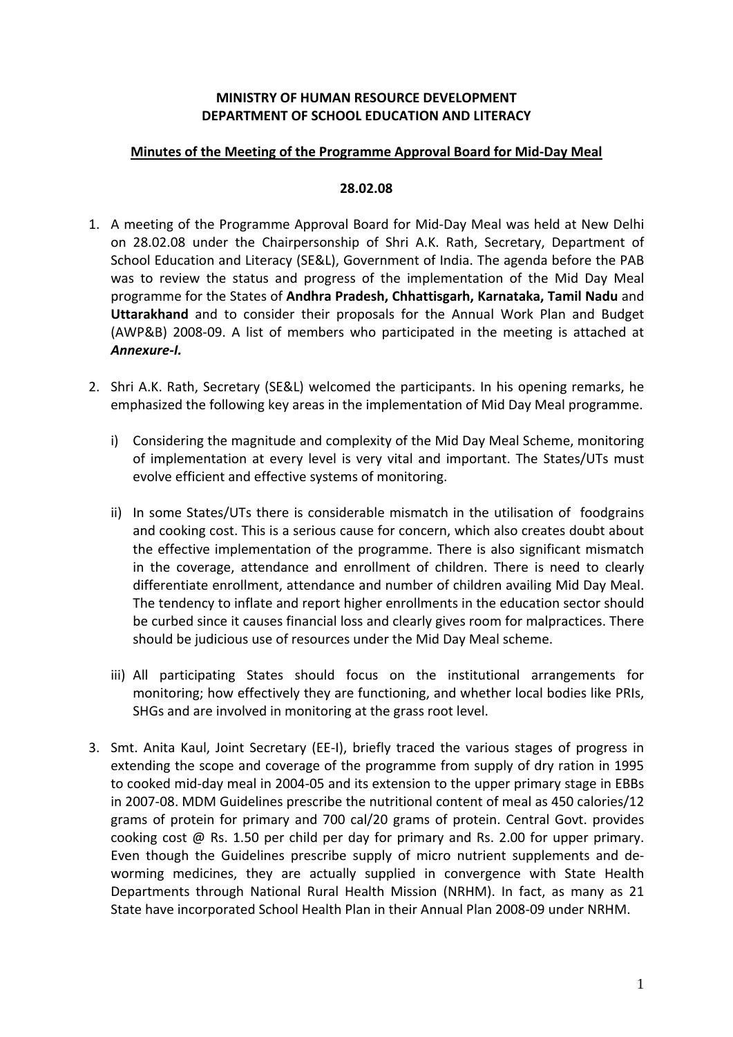# **MINISTRY OF HUMAN RESOURCE DEVELOPMENT DEPARTMENT OF SCHOOL EDUCATION AND LITERACY**

### **Minutes of the Meeting of the Programme Approval Board for Mid‐Day Meal**

#### **28.02.08**

- 1. A meeting of the Programme Approval Board for Mid‐Day Meal was held at New Delhi on 28.02.08 under the Chairpersonship of Shri A.K. Rath, Secretary, Department of School Education and Literacy (SE&L), Government of India. The agenda before the PAB was to review the status and progress of the implementation of the Mid Day Meal programme for the States of **Andhra Pradesh, Chhattisgarh, Karnataka, Tamil Nadu** and **Uttarakhand** and to consider their proposals for the Annual Work Plan and Budget (AWP&B) 2008‐09. A list of members who participated in the meeting is attached at *Annexure‐I.*
- 2. Shri A.K. Rath, Secretary (SE&L) welcomed the participants. In his opening remarks, he emphasized the following key areas in the implementation of Mid Day Meal programme.
	- i) Considering the magnitude and complexity of the Mid Day Meal Scheme, monitoring of implementation at every level is very vital and important. The States/UTs must evolve efficient and effective systems of monitoring.
	- ii) In some States/UTs there is considerable mismatch in the utilisation of foodgrains and cooking cost. This is a serious cause for concern, which also creates doubt about the effective implementation of the programme. There is also significant mismatch in the coverage, attendance and enrollment of children. There is need to clearly differentiate enrollment, attendance and number of children availing Mid Day Meal. The tendency to inflate and report higher enrollments in the education sector should be curbed since it causes financial loss and clearly gives room for malpractices. There should be judicious use of resources under the Mid Day Meal scheme.
	- iii) All participating States should focus on the institutional arrangements for monitoring; how effectively they are functioning, and whether local bodies like PRIs, SHGs and are involved in monitoring at the grass root level.
- 3. Smt. Anita Kaul, Joint Secretary (EE‐I), briefly traced the various stages of progress in extending the scope and coverage of the programme from supply of dry ration in 1995 to cooked mid‐day meal in 2004‐05 and its extension to the upper primary stage in EBBs in 2007‐08. MDM Guidelines prescribe the nutritional content of meal as 450 calories/12 grams of protein for primary and 700 cal/20 grams of protein. Central Govt. provides cooking cost  $\omega$  Rs. 1.50 per child per day for primary and Rs. 2.00 for upper primary. Even though the Guidelines prescribe supply of micro nutrient supplements and de‐ worming medicines, they are actually supplied in convergence with State Health Departments through National Rural Health Mission (NRHM). In fact, as many as 21 State have incorporated School Health Plan in their Annual Plan 2008‐09 under NRHM.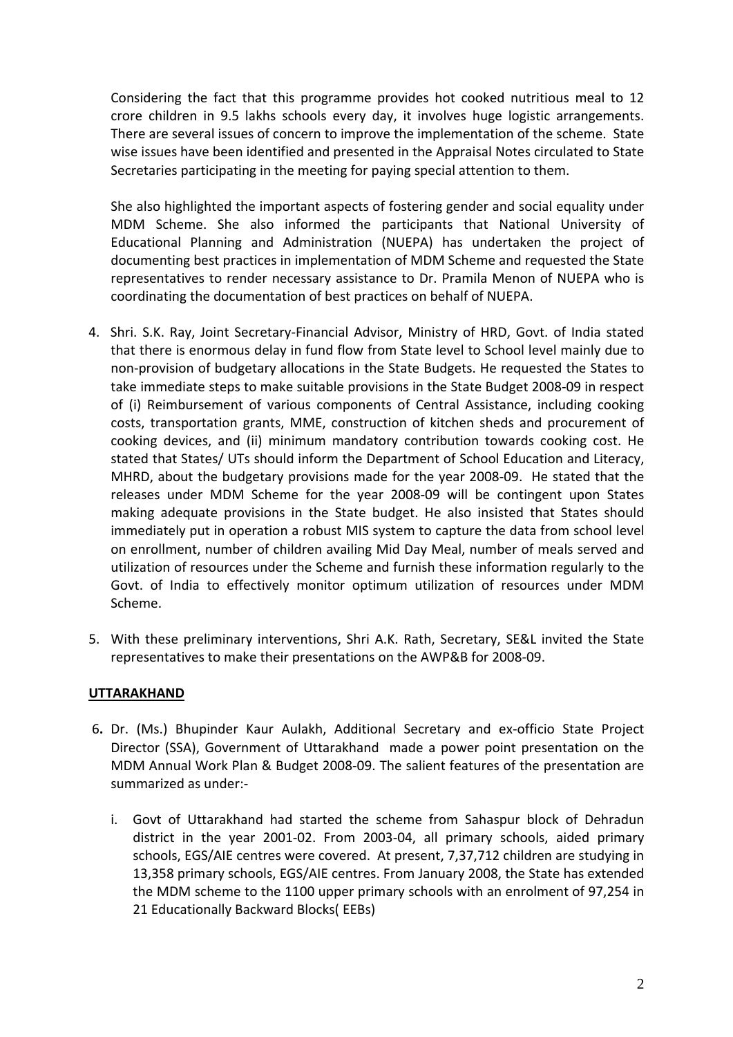Considering the fact that this programme provides hot cooked nutritious meal to 12 crore children in 9.5 lakhs schools every day, it involves huge logistic arrangements. There are several issues of concern to improve the implementation of the scheme. State wise issues have been identified and presented in the Appraisal Notes circulated to State Secretaries participating in the meeting for paying special attention to them.

She also highlighted the important aspects of fostering gender and social equality under MDM Scheme. She also informed the participants that National University of Educational Planning and Administration (NUEPA) has undertaken the project of documenting best practices in implementation of MDM Scheme and requested the State representatives to render necessary assistance to Dr. Pramila Menon of NUEPA who is coordinating the documentation of best practices on behalf of NUEPA.

- 4. Shri. S.K. Ray, Joint Secretary-Financial Advisor, Ministry of HRD, Govt. of India stated that there is enormous delay in fund flow from State level to School level mainly due to non‐provision of budgetary allocations in the State Budgets. He requested the States to take immediate steps to make suitable provisions in the State Budget 2008‐09 in respect of (i) Reimbursement of various components of Central Assistance, including cooking costs, transportation grants, MME, construction of kitchen sheds and procurement of cooking devices, and (ii) minimum mandatory contribution towards cooking cost. He stated that States/ UTs should inform the Department of School Education and Literacy, MHRD, about the budgetary provisions made for the year 2008‐09. He stated that the releases under MDM Scheme for the year 2008‐09 will be contingent upon States making adequate provisions in the State budget. He also insisted that States should immediately put in operation a robust MIS system to capture the data from school level on enrollment, number of children availing Mid Day Meal, number of meals served and utilization of resources under the Scheme and furnish these information regularly to the Govt. of India to effectively monitor optimum utilization of resources under MDM Scheme.
- 5. With these preliminary interventions, Shri A.K. Rath, Secretary, SE&L invited the State representatives to make their presentations on the AWP&B for 2008‐09.

# **UTTARAKHAND**

- 6**.** Dr. (Ms.) Bhupinder Kaur Aulakh, Additional Secretary and ex‐officio State Project Director (SSA), Government of Uttarakhand made a power point presentation on the MDM Annual Work Plan & Budget 2008‐09. The salient features of the presentation are summarized as under:‐
	- i. Govt of Uttarakhand had started the scheme from Sahaspur block of Dehradun district in the year 2001‐02. From 2003‐04, all primary schools, aided primary schools, EGS/AIE centres were covered. At present, 7,37,712 children are studying in 13,358 primary schools, EGS/AIE centres. From January 2008, the State has extended the MDM scheme to the 1100 upper primary schools with an enrolment of 97,254 in 21 Educationally Backward Blocks( EEBs)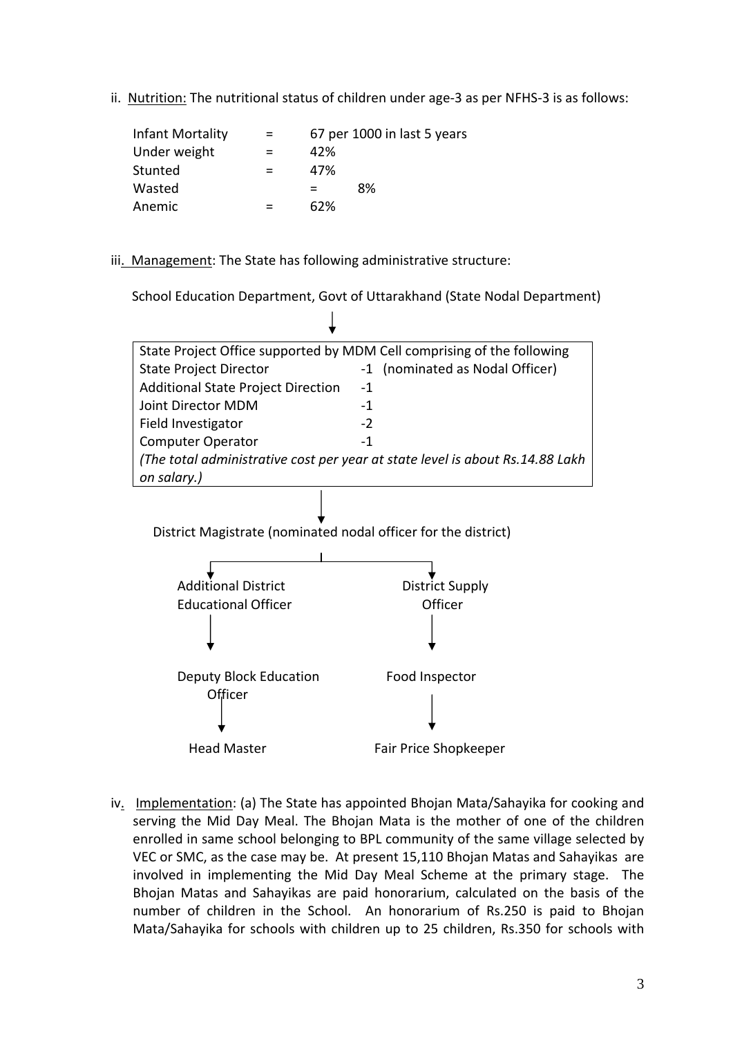ii. Nutrition: The nutritional status of children under age-3 as per NFHS-3 is as follows:

| Infant Mortality | = | 67 per 1000 in last 5 years |
|------------------|---|-----------------------------|
| Under weight     |   | 42%                         |
| Stunted          | = | 47%                         |
| Wasted           |   | 8%<br>$=$                   |
| Anemic           |   | 62%                         |

iii. Management: The State has following administrative structure:

School Education Department, Govt of Uttarakhand (State Nodal Department)



iv. Implementation: (a) The State has appointed Bhojan Mata/Sahayika for cooking and serving the Mid Day Meal. The Bhojan Mata is the mother of one of the children enrolled in same school belonging to BPL community of the same village selected by VEC or SMC, as the case may be. At present 15,110 Bhojan Matas and Sahayikas are involved in implementing the Mid Day Meal Scheme at the primary stage. The Bhojan Matas and Sahayikas are paid honorarium, calculated on the basis of the number of children in the School. An honorarium of Rs.250 is paid to Bhojan Mata/Sahayika for schools with children up to 25 children, Rs.350 for schools with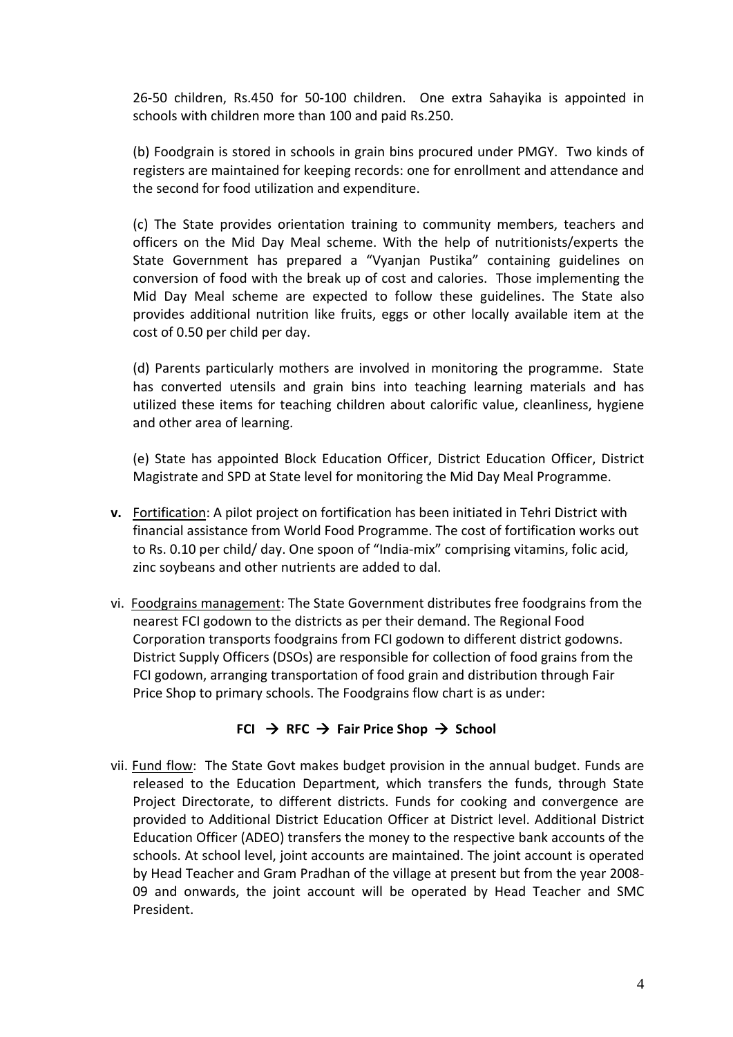26‐50 children, Rs.450 for 50‐100 children. One extra Sahayika is appointed in schools with children more than 100 and paid Rs.250.

(b) Foodgrain is stored in schools in grain bins procured under PMGY. Two kinds of registers are maintained for keeping records: one for enrollment and attendance and the second for food utilization and expenditure.

(c) The State provides orientation training to community members, teachers and officers on the Mid Day Meal scheme. With the help of nutritionists/experts the State Government has prepared a "Vyanjan Pustika" containing guidelines on conversion of food with the break up of cost and calories. Those implementing the Mid Day Meal scheme are expected to follow these guidelines. The State also provides additional nutrition like fruits, eggs or other locally available item at the cost of 0.50 per child per day.

(d) Parents particularly mothers are involved in monitoring the programme. State has converted utensils and grain bins into teaching learning materials and has utilized these items for teaching children about calorific value, cleanliness, hygiene and other area of learning.

(e) State has appointed Block Education Officer, District Education Officer, District Magistrate and SPD at State level for monitoring the Mid Day Meal Programme.

- **v.** Fortification: A pilot project on fortification has been initiated in Tehri District with financial assistance from World Food Programme. The cost of fortification works out to Rs. 0.10 per child/ day. One spoon of "India‐mix" comprising vitamins, folic acid, zinc soybeans and other nutrients are added to dal.
- vi. Foodgrains management: The State Government distributes free foodgrains from the nearest FCI godown to the districts as per their demand. The Regional Food Corporation transports foodgrains from FCI godown to different district godowns. District Supply Officers (DSOs) are responsible for collection of food grains from the FCI godown, arranging transportation of food grain and distribution through Fair Price Shop to primary schools. The Foodgrains flow chart is as under:

# $FCI \rightarrow RFC \rightarrow Fair Price Shop \rightarrow School$

vii. Fund flow: The State Govt makes budget provision in the annual budget. Funds are released to the Education Department, which transfers the funds, through State Project Directorate, to different districts. Funds for cooking and convergence are provided to Additional District Education Officer at District level. Additional District Education Officer (ADEO) transfers the money to the respective bank accounts of the schools. At school level, joint accounts are maintained. The joint account is operated by Head Teacher and Gram Pradhan of the village at present but from the year 2008‐ 09 and onwards, the joint account will be operated by Head Teacher and SMC President.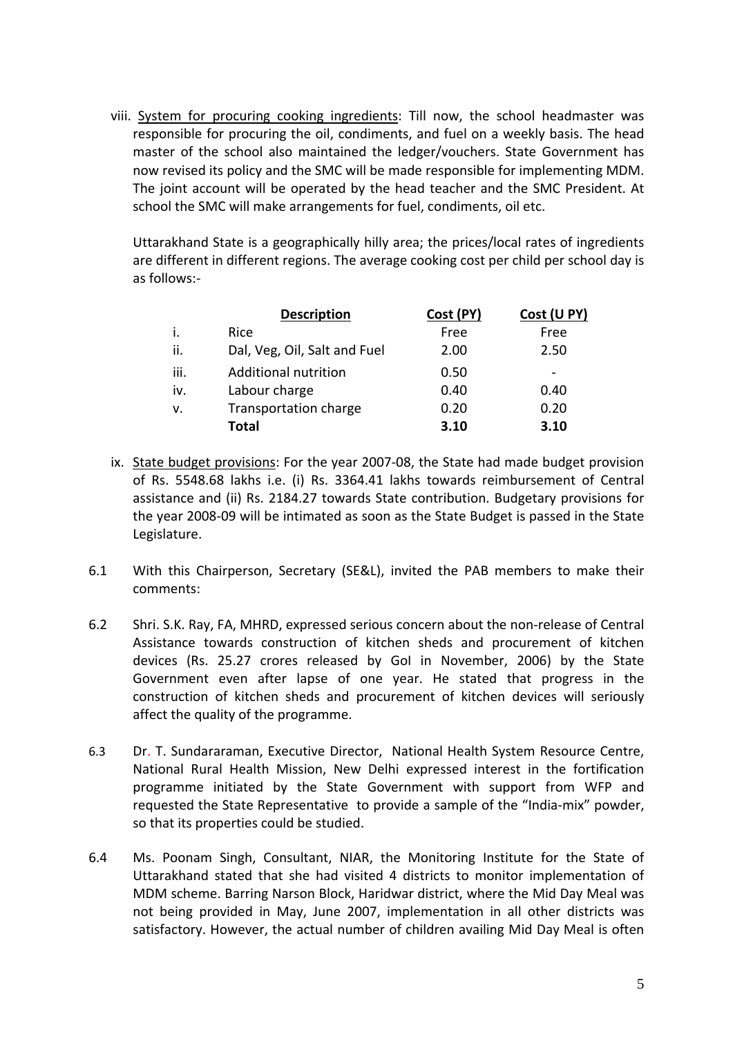viii. System for procuring cooking ingredients: Till now, the school headmaster was responsible for procuring the oil, condiments, and fuel on a weekly basis. The head master of the school also maintained the ledger/vouchers. State Government has now revised its policy and the SMC will be made responsible for implementing MDM. The joint account will be operated by the head teacher and the SMC President. At school the SMC will make arrangements for fuel, condiments, oil etc.

Uttarakhand State is a geographically hilly area; the prices/local rates of ingredients are different in different regions. The average cooking cost per child per school day is as follows:‐

|      | <b>Description</b>           | Cost (PY) | Cost (U PY)              |
|------|------------------------------|-----------|--------------------------|
| i.   | <b>Rice</b>                  | Free      | Free                     |
| ii.  | Dal, Veg, Oil, Salt and Fuel | 2.00      | 2.50                     |
| iii. | <b>Additional nutrition</b>  | 0.50      | $\overline{\phantom{0}}$ |
| iv.  | Labour charge                | 0.40      | 0.40                     |
| v.   | <b>Transportation charge</b> | 0.20      | 0.20                     |
|      | <b>Total</b>                 | 3.10      | 3.10                     |

- ix. State budget provisions: For the year 2007‐08, the State had made budget provision of Rs. 5548.68 lakhs i.e. (i) Rs. 3364.41 lakhs towards reimbursement of Central assistance and (ii) Rs. 2184.27 towards State contribution. Budgetary provisions for the year 2008‐09 will be intimated as soon as the State Budget is passed in the State Legislature.
- 6.1 With this Chairperson, Secretary (SE&L), invited the PAB members to make their comments:
- 6.2 Shri. S.K. Ray, FA, MHRD, expressed serious concern about the non‐release of Central Assistance towards construction of kitchen sheds and procurement of kitchen devices (Rs. 25.27 crores released by GoI in November, 2006) by the State Government even after lapse of one year. He stated that progress in the construction of kitchen sheds and procurement of kitchen devices will seriously affect the quality of the programme.
- 6.3 Dr. T. Sundararaman, Executive Director, National Health System Resource Centre, National Rural Health Mission, New Delhi expressed interest in the fortification programme initiated by the State Government with support from WFP and requested the State Representative to provide a sample of the "India‐mix" powder, so that its properties could be studied.
- 6.4 Ms. Poonam Singh, Consultant, NIAR, the Monitoring Institute for the State of Uttarakhand stated that she had visited 4 districts to monitor implementation of MDM scheme. Barring Narson Block, Haridwar district, where the Mid Day Meal was not being provided in May, June 2007, implementation in all other districts was satisfactory. However, the actual number of children availing Mid Day Meal is often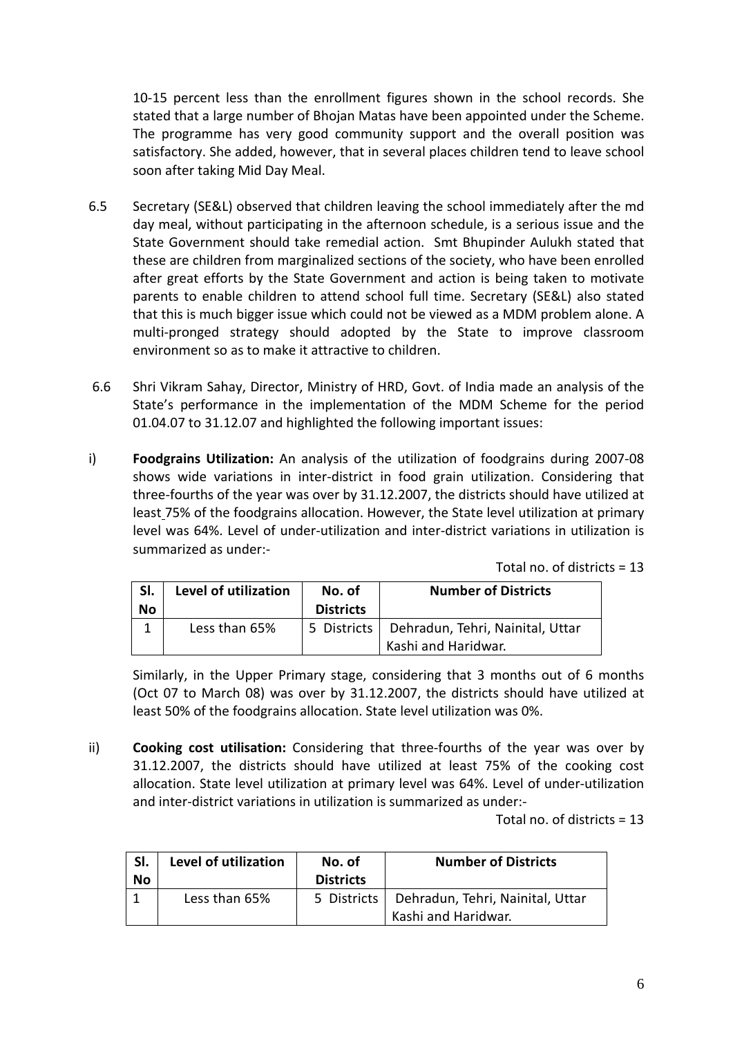10‐15 percent less than the enrollment figures shown in the school records. She stated that a large number of Bhojan Matas have been appointed under the Scheme. The programme has very good community support and the overall position was satisfactory. She added, however, that in several places children tend to leave school soon after taking Mid Day Meal.

- 6.5 Secretary (SE&L) observed that children leaving the school immediately after the md day meal, without participating in the afternoon schedule, is a serious issue and the State Government should take remedial action. Smt Bhupinder Aulukh stated that these are children from marginalized sections of the society, who have been enrolled after great efforts by the State Government and action is being taken to motivate parents to enable children to attend school full time. Secretary (SE&L) also stated that this is much bigger issue which could not be viewed as a MDM problem alone. A multi‐pronged strategy should adopted by the State to improve classroom environment so as to make it attractive to children.
- 6.6 Shri Vikram Sahay, Director, Ministry of HRD, Govt. of India made an analysis of the State's performance in the implementation of the MDM Scheme for the period 01.04.07 to 31.12.07 and highlighted the following important issues:
- i) **Foodgrains Utilization:** An analysis of the utilization of foodgrains during 2007‐08 shows wide variations in inter‐district in food grain utilization. Considering that three‐fourths of the year was over by 31.12.2007, the districts should have utilized at least 75% of the foodgrains allocation. However, the State level utilization at primary level was 64%. Level of under‐utilization and inter‐district variations in utilization is summarized as under:‐

|  |  |  | Total no. of districts = 13 |  |
|--|--|--|-----------------------------|--|
|--|--|--|-----------------------------|--|

| SI.<br>No | Level of utilization | No. of<br><b>Districts</b> | <b>Number of Districts</b>                              |
|-----------|----------------------|----------------------------|---------------------------------------------------------|
|           | Less than 65%        | 5 Districts                | Dehradun, Tehri, Nainital, Uttar<br>Kashi and Haridwar. |

Similarly, in the Upper Primary stage, considering that 3 months out of 6 months (Oct 07 to March 08) was over by 31.12.2007, the districts should have utilized at least 50% of the foodgrains allocation. State level utilization was 0%.

ii) **Cooking cost utilisation:** Considering that three‐fourths of the year was over by 31.12.2007, the districts should have utilized at least 75% of the cooking cost allocation. State level utilization at primary level was 64%. Level of under‐utilization and inter-district variations in utilization is summarized as under:-

Total no. of districts = 13

| SI. | Level of utilization<br>No. of |                  | <b>Number of Districts</b>                     |
|-----|--------------------------------|------------------|------------------------------------------------|
| No  |                                | <b>Districts</b> |                                                |
|     | Less than 65%                  |                  | 5 Districts   Dehradun, Tehri, Nainital, Uttar |
|     |                                |                  | Kashi and Haridwar.                            |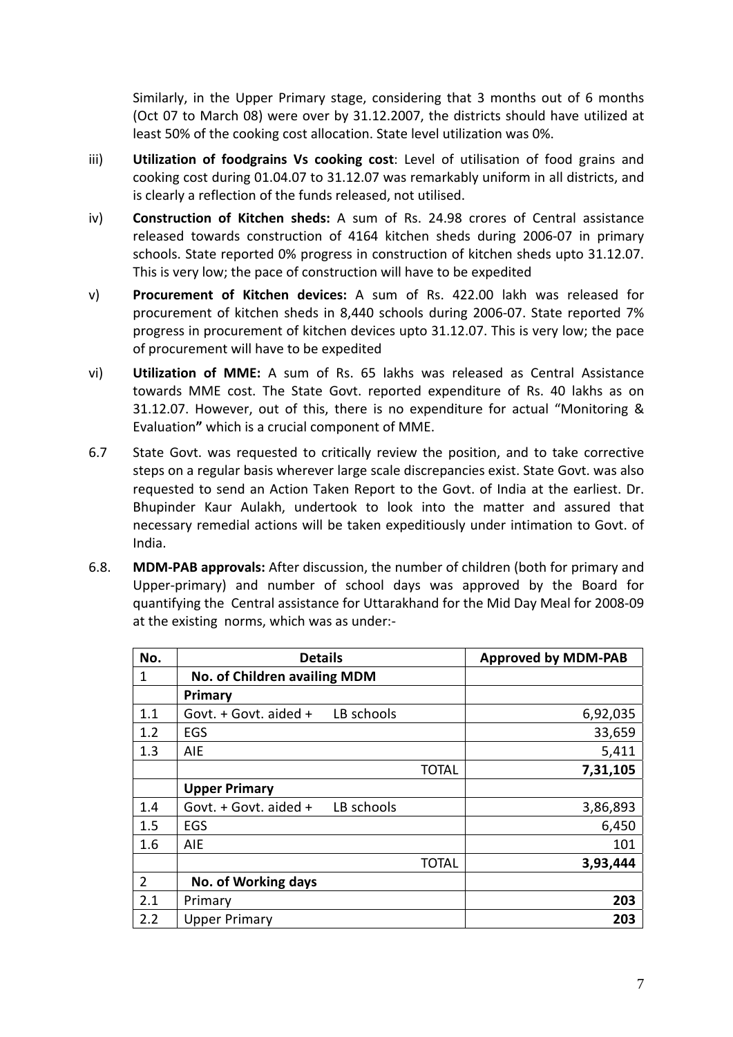Similarly, in the Upper Primary stage, considering that 3 months out of 6 months (Oct 07 to March 08) were over by 31.12.2007, the districts should have utilized at least 50% of the cooking cost allocation. State level utilization was 0%.

- iii) **Utilization of foodgrains Vs cooking cost**: Level of utilisation of food grains and cooking cost during 01.04.07 to 31.12.07 was remarkably uniform in all districts, and is clearly a reflection of the funds released, not utilised.
- iv) **Construction of Kitchen sheds:** A sum of Rs. 24.98 crores of Central assistance released towards construction of 4164 kitchen sheds during 2006‐07 in primary schools. State reported 0% progress in construction of kitchen sheds upto 31.12.07. This is very low; the pace of construction will have to be expedited
- v) **Procurement of Kitchen devices:** A sum of Rs. 422.00 lakh was released for procurement of kitchen sheds in 8,440 schools during 2006‐07. State reported 7% progress in procurement of kitchen devices upto 31.12.07. This is very low; the pace of procurement will have to be expedited
- vi) **Utilization of MME:** A sum of Rs. 65 lakhs was released as Central Assistance towards MME cost. The State Govt. reported expenditure of Rs. 40 lakhs as on 31.12.07. However, out of this, there is no expenditure for actual "Monitoring & Evaluation**"** which is a crucial component of MME.
- 6.7 State Govt. was requested to critically review the position, and to take corrective steps on a regular basis wherever large scale discrepancies exist. State Govt. was also requested to send an Action Taken Report to the Govt. of India at the earliest. Dr. Bhupinder Kaur Aulakh, undertook to look into the matter and assured that necessary remedial actions will be taken expeditiously under intimation to Govt. of India.
- 6.8. **MDM‐PAB approvals:** After discussion, the number of children (both for primary and Upper‐primary) and number of school days was approved by the Board for quantifying the Central assistance for Uttarakhand for the Mid Day Meal for 2008‐09 at the existing norms, which was as under:‐

| No.            | <b>Details</b>                          |              | <b>Approved by MDM-PAB</b> |
|----------------|-----------------------------------------|--------------|----------------------------|
| 1              | No. of Children availing MDM            |              |                            |
|                | Primary                                 |              |                            |
| 1.1            | LB schools<br>Govt. $+$ Govt. aided $+$ |              | 6,92,035                   |
| 1.2            | EGS                                     |              | 33,659                     |
| 1.3            | AIE                                     |              | 5,411                      |
|                |                                         | <b>TOTAL</b> | 7,31,105                   |
|                | <b>Upper Primary</b>                    |              |                            |
| 1.4            | LB schools<br>Govt. + Govt. aided +     |              | 3,86,893                   |
| 1.5            | EGS                                     |              | 6,450                      |
| 1.6            | AIE                                     |              | 101                        |
|                |                                         | <b>TOTAL</b> | 3,93,444                   |
| $\overline{2}$ | No. of Working days                     |              |                            |
| 2.1            | Primary                                 |              | 203                        |
| 2.2            | <b>Upper Primary</b>                    |              | 203                        |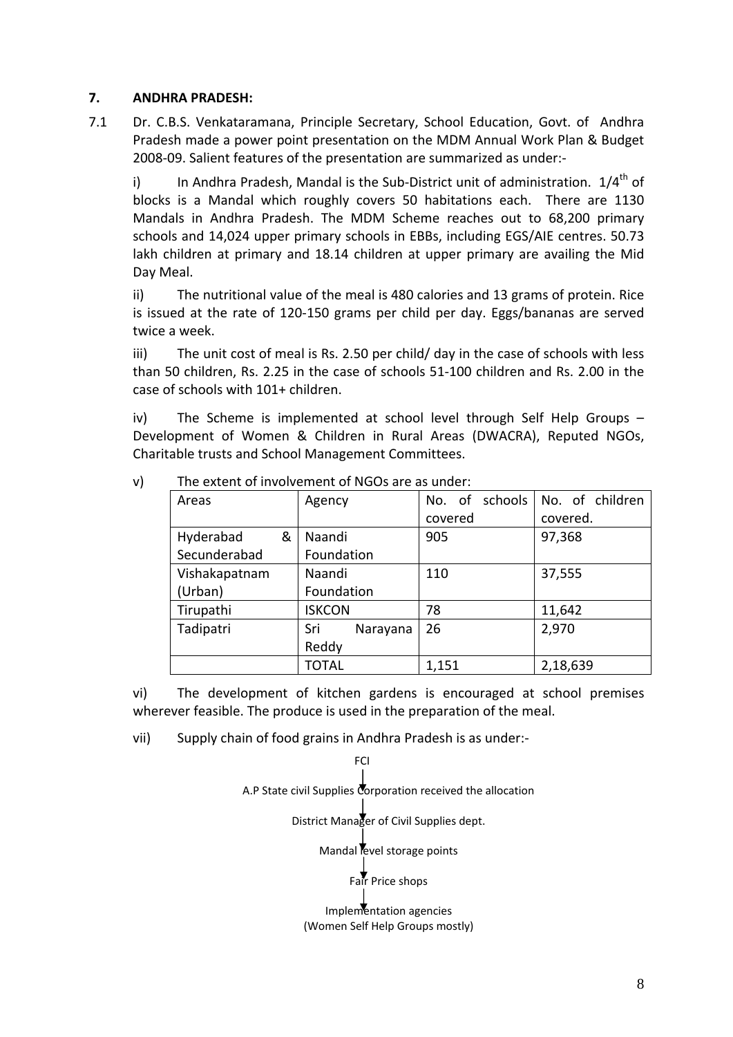# **7. ANDHRA PRADESH:**

7.1 Dr. C.B.S. Venkataramana, Principle Secretary, School Education, Govt. of Andhra Pradesh made a power point presentation on the MDM Annual Work Plan & Budget 2008‐09. Salient features of the presentation are summarized as under:‐

i) In Andhra Pradesh, Mandal is the Sub-District unit of administration.  $1/4^{th}$  of blocks is a Mandal which roughly covers 50 habitations each. There are 1130 Mandals in Andhra Pradesh. The MDM Scheme reaches out to 68,200 primary schools and 14,024 upper primary schools in EBBs, including EGS/AIE centres. 50.73 lakh children at primary and 18.14 children at upper primary are availing the Mid Day Meal.

ii) The nutritional value of the meal is 480 calories and 13 grams of protein. Rice is issued at the rate of 120‐150 grams per child per day. Eggs/bananas are served twice a week.

iii) The unit cost of meal is Rs. 2.50 per child/ day in the case of schools with less than 50 children, Rs. 2.25 in the case of schools 51‐100 children and Rs. 2.00 in the case of schools with 101+ children.

iv) The Scheme is implemented at school level through Self Help Groups – Development of Women & Children in Rural Areas (DWACRA), Reputed NGOs, Charitable trusts and School Management Committees.

| Areas          | Agency          | schools<br>No. of | No. of children |
|----------------|-----------------|-------------------|-----------------|
|                |                 | covered           | covered.        |
| &<br>Hyderabad | Naandi          | 905               | 97,368          |
| Secunderabad   | Foundation      |                   |                 |
| Vishakapatnam  | Naandi          | 110               | 37,555          |
| (Urban)        | Foundation      |                   |                 |
| Tirupathi      | <b>ISKCON</b>   | 78                | 11,642          |
| Tadipatri      | Narayana<br>Sri | 26                | 2,970           |
|                | Reddy           |                   |                 |
|                | <b>TOTAL</b>    | 1,151             | 2,18,639        |

v) The extent of involvement of NGOs are as under:

vi) The development of kitchen gardens is encouraged at school premises wherever feasible. The produce is used in the preparation of the meal.

vii) Supply chain of food grains in Andhra Pradesh is as under:‐

FCI A.P State civil Supplies Corporation received the allocation District Manager of Civil Supplies dept. Mandal level storage points Fair Price shops

Implementation agencies (Women Self Help Groups mostly)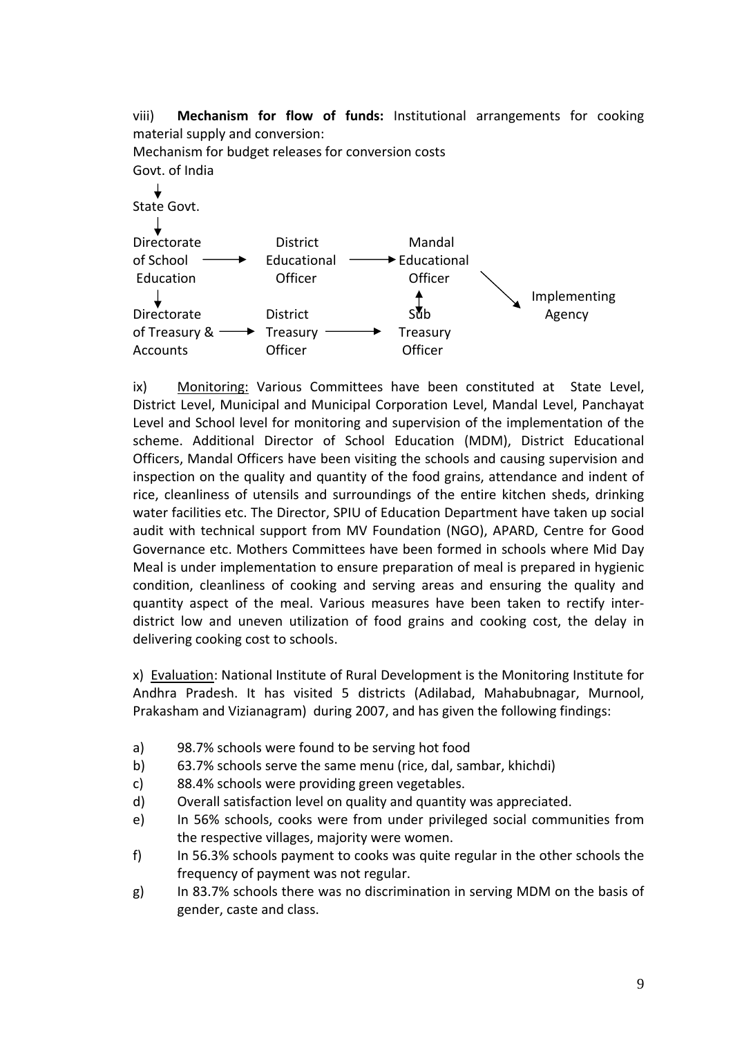viii) **Mechanism for flow of funds:** Institutional arrangements for cooking material supply and conversion: Mechanism for budget releases for conversion costs



ix) Monitoring: Various Committees have been constituted at State Level, District Level, Municipal and Municipal Corporation Level, Mandal Level, Panchayat Level and School level for monitoring and supervision of the implementation of the scheme. Additional Director of School Education (MDM), District Educational Officers, Mandal Officers have been visiting the schools and causing supervision and inspection on the quality and quantity of the food grains, attendance and indent of rice, cleanliness of utensils and surroundings of the entire kitchen sheds, drinking water facilities etc. The Director, SPIU of Education Department have taken up social audit with technical support from MV Foundation (NGO), APARD, Centre for Good Governance etc. Mothers Committees have been formed in schools where Mid Day Meal is under implementation to ensure preparation of meal is prepared in hygienic condition, cleanliness of cooking and serving areas and ensuring the quality and quantity aspect of the meal. Various measures have been taken to rectify inter‐ district low and uneven utilization of food grains and cooking cost, the delay in delivering cooking cost to schools.

x)Evaluation: National Institute of Rural Development is the Monitoring Institute for Andhra Pradesh. It has visited 5 districts (Adilabad, Mahabubnagar, Murnool, Prakasham and Vizianagram) during 2007, and has given the following findings:

- a) 98.7% schools were found to be serving hot food
- b) 63.7% schools serve the same menu (rice, dal, sambar, khichdi)
- c) 88.4% schools were providing green vegetables.
- d) Overall satisfaction level on quality and quantity was appreciated.
- e) In 56% schools, cooks were from under privileged social communities from the respective villages, majority were women.
- f) In 56.3% schools payment to cooks was quite regular in the other schools the frequency of payment was not regular.
- g) In 83.7% schools there was no discrimination in serving MDM on the basis of gender, caste and class.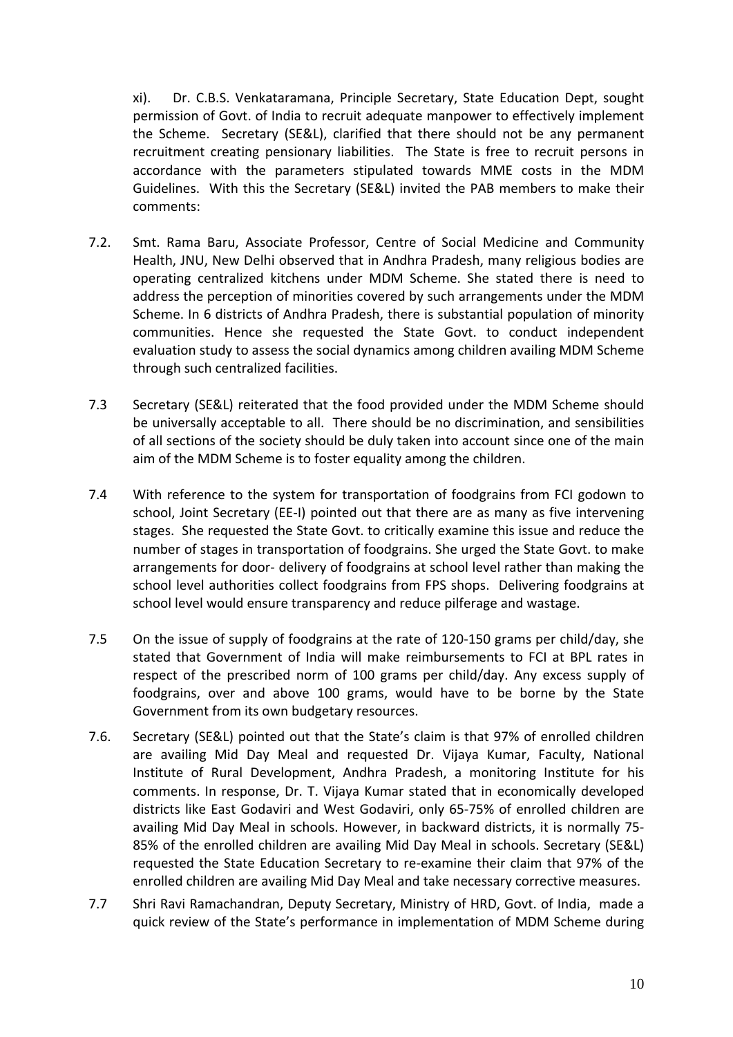xi). Dr. C.B.S. Venkataramana, Principle Secretary, State Education Dept, sought permission of Govt. of India to recruit adequate manpower to effectively implement the Scheme. Secretary (SE&L), clarified that there should not be any permanent recruitment creating pensionary liabilities. The State is free to recruit persons in accordance with the parameters stipulated towards MME costs in the MDM Guidelines. With this the Secretary (SE&L) invited the PAB members to make their comments:

- 7.2. Smt. Rama Baru, Associate Professor, Centre of Social Medicine and Community Health, JNU, New Delhi observed that in Andhra Pradesh, many religious bodies are operating centralized kitchens under MDM Scheme. She stated there is need to address the perception of minorities covered by such arrangements under the MDM Scheme. In 6 districts of Andhra Pradesh, there is substantial population of minority communities. Hence she requested the State Govt. to conduct independent evaluation study to assess the social dynamics among children availing MDM Scheme through such centralized facilities.
- 7.3 Secretary (SE&L) reiterated that the food provided under the MDM Scheme should be universally acceptable to all. There should be no discrimination, and sensibilities of all sections of the society should be duly taken into account since one of the main aim of the MDM Scheme is to foster equality among the children.
- 7.4 With reference to the system for transportation of foodgrains from FCI godown to school, Joint Secretary (EE‐I) pointed out that there are as many as five intervening stages. She requested the State Govt. to critically examine this issue and reduce the number of stages in transportation of foodgrains. She urged the State Govt. to make arrangements for door‐ delivery of foodgrains at school level rather than making the school level authorities collect foodgrains from FPS shops. Delivering foodgrains at school level would ensure transparency and reduce pilferage and wastage.
- 7.5 On the issue of supply of foodgrains at the rate of 120‐150 grams per child/day, she stated that Government of India will make reimbursements to FCI at BPL rates in respect of the prescribed norm of 100 grams per child/day. Any excess supply of foodgrains, over and above 100 grams, would have to be borne by the State Government from its own budgetary resources.
- 7.6. Secretary (SE&L) pointed out that the State's claim is that 97% of enrolled children are availing Mid Day Meal and requested Dr. Vijaya Kumar, Faculty, National Institute of Rural Development, Andhra Pradesh, a monitoring Institute for his comments. In response, Dr. T. Vijaya Kumar stated that in economically developed districts like East Godaviri and West Godaviri, only 65‐75% of enrolled children are availing Mid Day Meal in schools. However, in backward districts, it is normally 75‐ 85% of the enrolled children are availing Mid Day Meal in schools. Secretary (SE&L) requested the State Education Secretary to re‐examine their claim that 97% of the enrolled children are availing Mid Day Meal and take necessary corrective measures.
- 7.7 Shri Ravi Ramachandran, Deputy Secretary, Ministry of HRD, Govt. of India, made a quick review of the State's performance in implementation of MDM Scheme during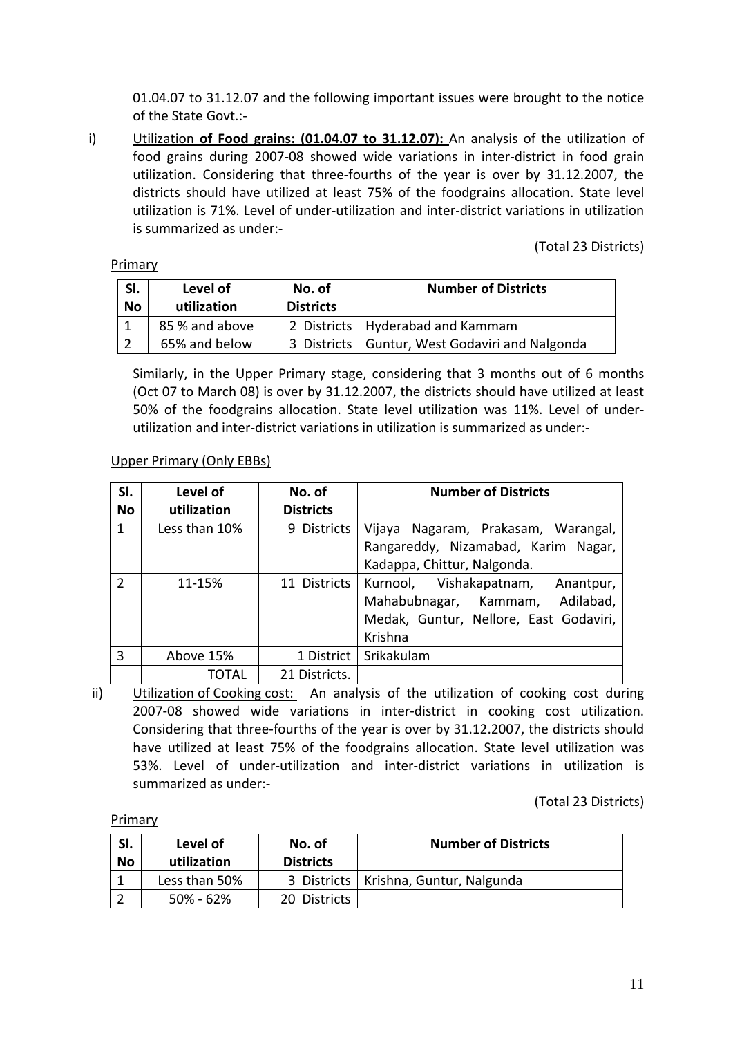01.04.07 to 31.12.07 and the following important issues were brought to the notice of the State Govt.:‐

i) Utilization **of Food grains: (01.04.07 to 31.12.07):** An analysis of the utilization of food grains during 2007‐08 showed wide variations in inter‐district in food grain utilization. Considering that three‐fourths of the year is over by 31.12.2007, the districts should have utilized at least 75% of the foodgrains allocation. State level utilization is 71%. Level of under‐utilization and inter‐district variations in utilization is summarized as under:‐

(Total 23 Districts)

#### Primary

| SI.<br><b>No</b> | Level of<br>utilization | No. of<br><b>Districts</b> | <b>Number of Districts</b>                       |  |
|------------------|-------------------------|----------------------------|--------------------------------------------------|--|
|                  | 85 % and above          |                            | 2 Districts   Hyderabad and Kammam               |  |
|                  | 65% and below           |                            | 3 Districts   Guntur, West Godaviri and Nalgonda |  |

Similarly, in the Upper Primary stage, considering that 3 months out of 6 months (Oct 07 to March 08) is over by 31.12.2007, the districts should have utilized at least 50% of the foodgrains allocation. State level utilization was 11%. Level of under‐ utilization and inter‐district variations in utilization is summarized as under:‐

# Upper Primary (Only EBBs)

| SI.           | Level of      | No. of           | <b>Number of Districts</b>             |
|---------------|---------------|------------------|----------------------------------------|
| No            | utilization   | <b>Districts</b> |                                        |
| $\mathbf{1}$  | Less than 10% | 9 Districts      | Vijaya Nagaram, Prakasam, Warangal,    |
|               |               |                  | Rangareddy, Nizamabad, Karim Nagar,    |
|               |               |                  | Kadappa, Chittur, Nalgonda.            |
| $\mathcal{P}$ | 11-15%        | 11 Districts     | Kurnool, Vishakapatnam, Anantpur,      |
|               |               |                  | Adilabad,<br>Mahabubnagar, Kammam,     |
|               |               |                  | Medak, Guntur, Nellore, East Godaviri, |
|               |               |                  | Krishna                                |
| $\mathbf{3}$  | Above 15%     | 1 District       | Srikakulam                             |
|               | ΤΟΤΑΙ         | 21 Districts.    |                                        |

ii) Utilization of Cooking cost: An analysis of the utilization of cooking cost during 2007‐08 showed wide variations in inter‐district in cooking cost utilization. Considering that three‐fourths of the year is over by 31.12.2007, the districts should have utilized at least 75% of the foodgrains allocation. State level utilization was 53%. Level of under‐utilization and inter‐district variations in utilization is summarized as under:‐

(Total 23 Districts)

Primary

| SI.<br>No | Level of<br>utilization | No. of<br><b>Districts</b> | <b>Number of Districts</b>              |
|-----------|-------------------------|----------------------------|-----------------------------------------|
|           | Less than 50%           |                            | 3 Districts   Krishna, Guntur, Nalgunda |
|           | 50% - 62%               | 20 Districts               |                                         |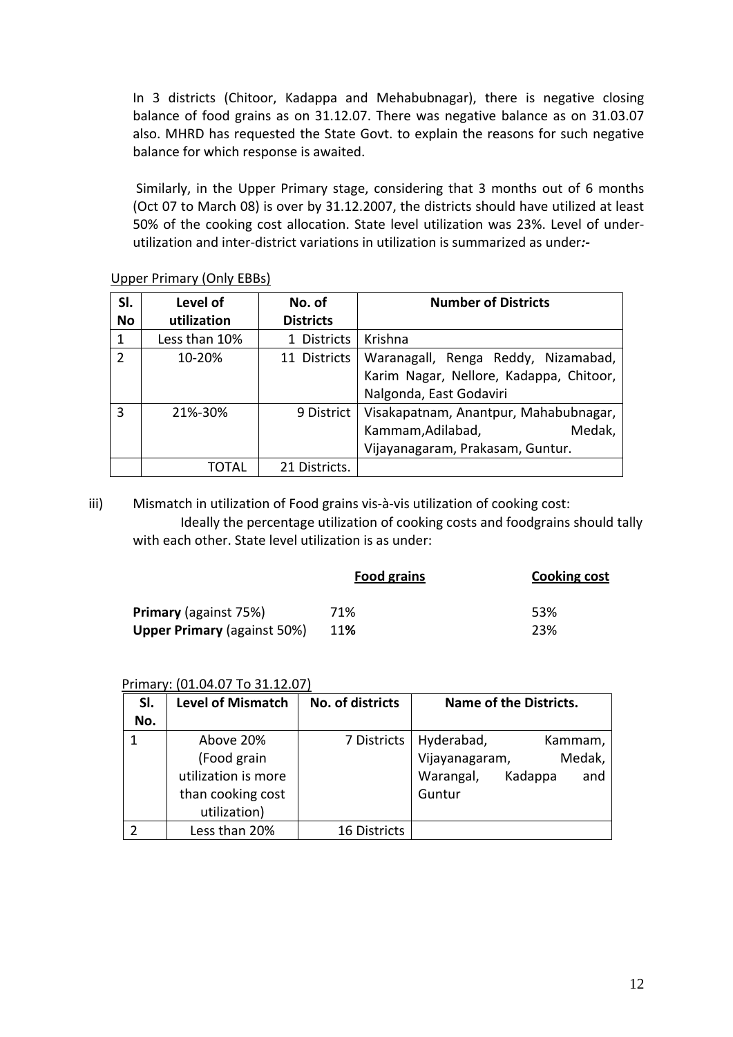In 3 districts (Chitoor, Kadappa and Mehabubnagar), there is negative closing balance of food grains as on 31.12.07. There was negative balance as on 31.03.07 also. MHRD has requested the State Govt. to explain the reasons for such negative balance for which response is awaited.

 Similarly, in the Upper Primary stage, considering that 3 months out of 6 months (Oct 07 to March 08) is over by 31.12.2007, the districts should have utilized at least 50% of the cooking cost allocation. State level utilization was 23%. Level of under‐ utilization and inter‐district variations in utilization is summarized as under*:‐* 

| SI.           | Level of      | No. of           | <b>Number of Districts</b>                                                                                |
|---------------|---------------|------------------|-----------------------------------------------------------------------------------------------------------|
| <b>No</b>     | utilization   | <b>Districts</b> |                                                                                                           |
|               | Less than 10% | 1 Districts      | Krishna                                                                                                   |
| $\mathcal{L}$ | 10-20%        | 11 Districts     | Waranagall, Renga Reddy, Nizamabad,<br>Karim Nagar, Nellore, Kadappa, Chitoor,<br>Nalgonda, East Godaviri |
| 3             | 21%-30%       | 9 District       | Visakapatnam, Anantpur, Mahabubnagar,<br>Medak,<br>Kammam, Adilabad,<br>Vijayanagaram, Prakasam, Guntur.  |
|               | TOTAL         | 21 Districts.    |                                                                                                           |

Upper Primary (Only EBBs)

iii) Mismatch in utilization of Food grains vis-à-vis utilization of cooking cost: Ideally the percentage utilization of cooking costs and foodgrains should tally with each other. State level utilization is as under:

|                                    | <b>Food grains</b> | <b>Cooking cost</b> |
|------------------------------------|--------------------|---------------------|
| <b>Primary</b> (against 75%)       | 71%                | 53%                 |
| <b>Upper Primary (against 50%)</b> | <b>11%</b>         | 23%                 |

### Primary: (01.04.07 To 31.12.07)

|     | <b>Level of Mismatch</b> | No. of districts    | Name of the Districts.      |
|-----|--------------------------|---------------------|-----------------------------|
| SI. |                          |                     |                             |
| No. |                          |                     |                             |
|     | Above 20%                | 7 Districts         | Hyderabad,<br>Kammam,       |
|     | (Food grain              |                     | Vijayanagaram,<br>Medak,    |
|     | utilization is more      |                     | Kadappa<br>Warangal,<br>and |
|     | than cooking cost        |                     | Guntur                      |
|     | utilization)             |                     |                             |
|     | Less than 20%            | <b>16 Districts</b> |                             |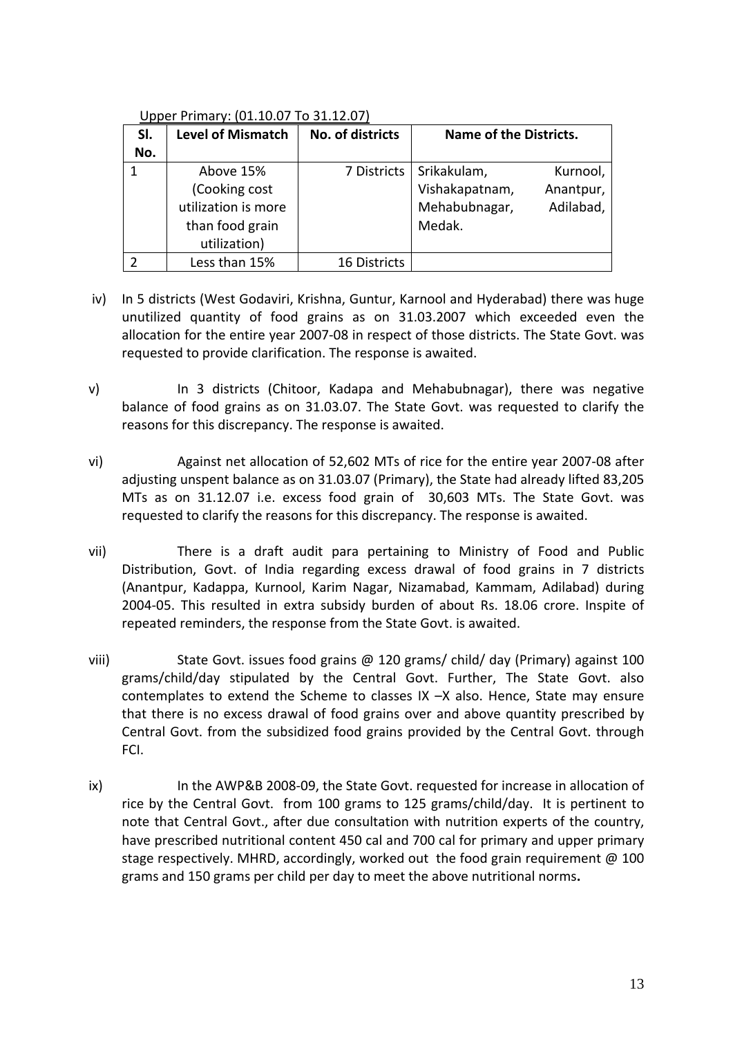### Upper Primary: (01.10.07 To 31.12.07)

| SI. | <b>Level of Mismatch</b> | No. of districts    | Name of the Districts. |           |
|-----|--------------------------|---------------------|------------------------|-----------|
| No. |                          |                     |                        |           |
|     | Above 15%                | 7 Districts         | Srikakulam,            | Kurnool,  |
|     | (Cooking cost            |                     | Vishakapatnam,         | Anantpur, |
|     | utilization is more      |                     | Mehabubnagar,          | Adilabad, |
|     | than food grain          |                     | Medak.                 |           |
|     | utilization)             |                     |                        |           |
|     | Less than 15%            | <b>16 Districts</b> |                        |           |

- iv) In 5 districts (West Godaviri, Krishna, Guntur, Karnool and Hyderabad) there was huge unutilized quantity of food grains as on 31.03.2007 which exceeded even the allocation for the entire year 2007‐08 in respect of those districts. The State Govt. was requested to provide clarification. The response is awaited.
- v) In 3 districts (Chitoor, Kadapa and Mehabubnagar), there was negative balance of food grains as on 31.03.07. The State Govt. was requested to clarify the reasons for this discrepancy. The response is awaited.
- vi) Against net allocation of 52,602 MTs of rice for the entire year 2007‐08 after adjusting unspent balance as on 31.03.07 (Primary), the State had already lifted 83,205 MTs as on 31.12.07 i.e. excess food grain of 30,603 MTs. The State Govt. was requested to clarify the reasons for this discrepancy. The response is awaited.
- vii) There is a draft audit para pertaining to Ministry of Food and Public Distribution, Govt. of India regarding excess drawal of food grains in 7 districts (Anantpur, Kadappa, Kurnool, Karim Nagar, Nizamabad, Kammam, Adilabad) during 2004‐05. This resulted in extra subsidy burden of about Rs. 18.06 crore. Inspite of repeated reminders, the response from the State Govt. is awaited.
- viii) State Govt. issues food grains @ 120 grams/ child/ day (Primary) against 100 grams/child/day stipulated by the Central Govt. Further, The State Govt. also contemplates to extend the Scheme to classes IX –X also. Hence, State may ensure that there is no excess drawal of food grains over and above quantity prescribed by Central Govt. from the subsidized food grains provided by the Central Govt. through FCI.
- ix) In the AWP&B 2008‐09, the State Govt. requested for increase in allocation of rice by the Central Govt. from 100 grams to 125 grams/child/day. It is pertinent to note that Central Govt., after due consultation with nutrition experts of the country, have prescribed nutritional content 450 cal and 700 cal for primary and upper primary stage respectively. MHRD, accordingly, worked out the food grain requirement  $\omega$  100 grams and 150 grams per child per day to meet the above nutritional norms**.**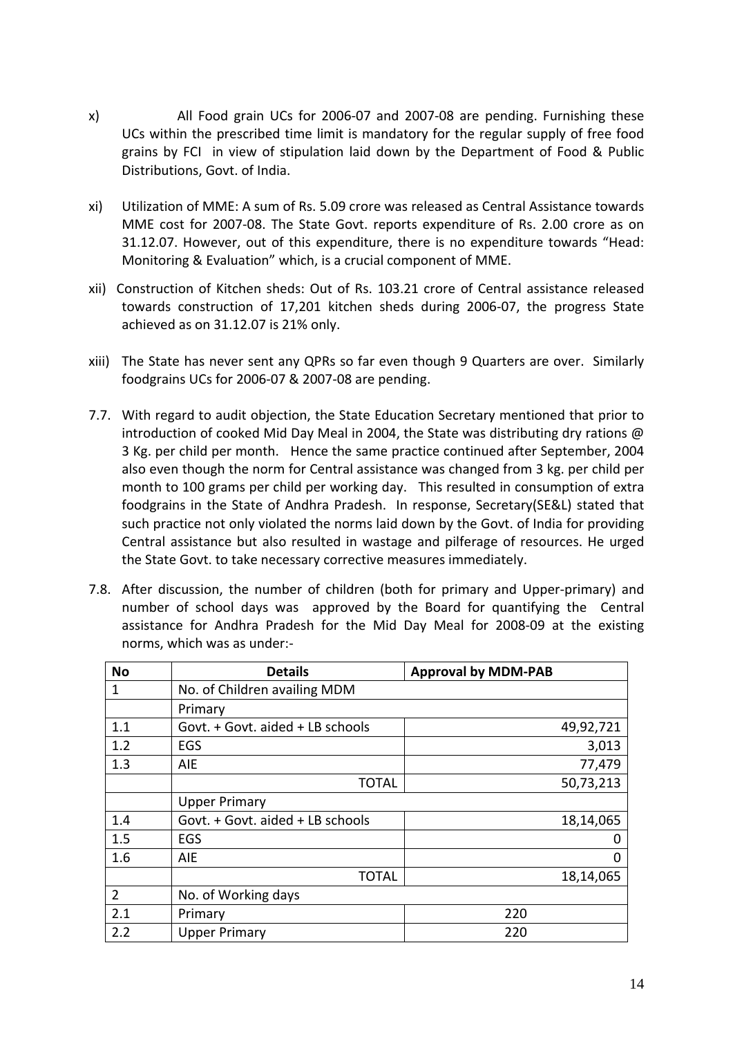- x) All Food grain UCs for 2006‐07 and 2007‐08 are pending. Furnishing these UCs within the prescribed time limit is mandatory for the regular supply of free food grains by FCI in view of stipulation laid down by the Department of Food & Public Distributions, Govt. of India.
- xi) Utilization of MME: A sum of Rs. 5.09 crore was released as Central Assistance towards MME cost for 2007‐08. The State Govt. reports expenditure of Rs. 2.00 crore as on 31.12.07. However, out of this expenditure, there is no expenditure towards "Head: Monitoring & Evaluation" which, is a crucial component of MME.
- xii) Construction of Kitchen sheds: Out of Rs. 103.21 crore of Central assistance released towards construction of 17,201 kitchen sheds during 2006‐07, the progress State achieved as on 31.12.07 is 21% only.
- xiii) The State has never sent any QPRs so far even though 9 Quarters are over. Similarly foodgrains UCs for 2006‐07 & 2007‐08 are pending.
- 7.7. With regard to audit objection, the State Education Secretary mentioned that prior to introduction of cooked Mid Day Meal in 2004, the State was distributing dry rations @ 3 Kg. per child per month. Hence the same practice continued after September, 2004 also even though the norm for Central assistance was changed from 3 kg. per child per month to 100 grams per child per working day. This resulted in consumption of extra foodgrains in the State of Andhra Pradesh. In response, Secretary(SE&L) stated that such practice not only violated the norms laid down by the Govt. of India for providing Central assistance but also resulted in wastage and pilferage of resources. He urged the State Govt. to take necessary corrective measures immediately.
- 7.8. After discussion, the number of children (both for primary and Upper-primary) and number of school days was approved by the Board for quantifying the Central assistance for Andhra Pradesh for the Mid Day Meal for 2008‐09 at the existing norms, which was as under:‐

| <b>No</b>      | <b>Details</b>                   | <b>Approval by MDM-PAB</b> |
|----------------|----------------------------------|----------------------------|
| 1              | No. of Children availing MDM     |                            |
|                | Primary                          |                            |
| 1.1            | Govt. + Govt. aided + LB schools | 49,92,721                  |
| 1.2            | EGS                              | 3,013                      |
| 1.3            | <b>AIE</b>                       | 77,479                     |
|                | <b>TOTAL</b>                     | 50,73,213                  |
|                | <b>Upper Primary</b>             |                            |
| 1.4            | Govt. + Govt. aided + LB schools | 18,14,065                  |
| 1.5            | EGS                              |                            |
| 1.6            | AIE                              | 0                          |
|                | <b>TOTAL</b>                     | 18,14,065                  |
| $\overline{2}$ | No. of Working days              |                            |
| 2.1            | Primary                          | 220                        |
| 2.2            | <b>Upper Primary</b>             | 220                        |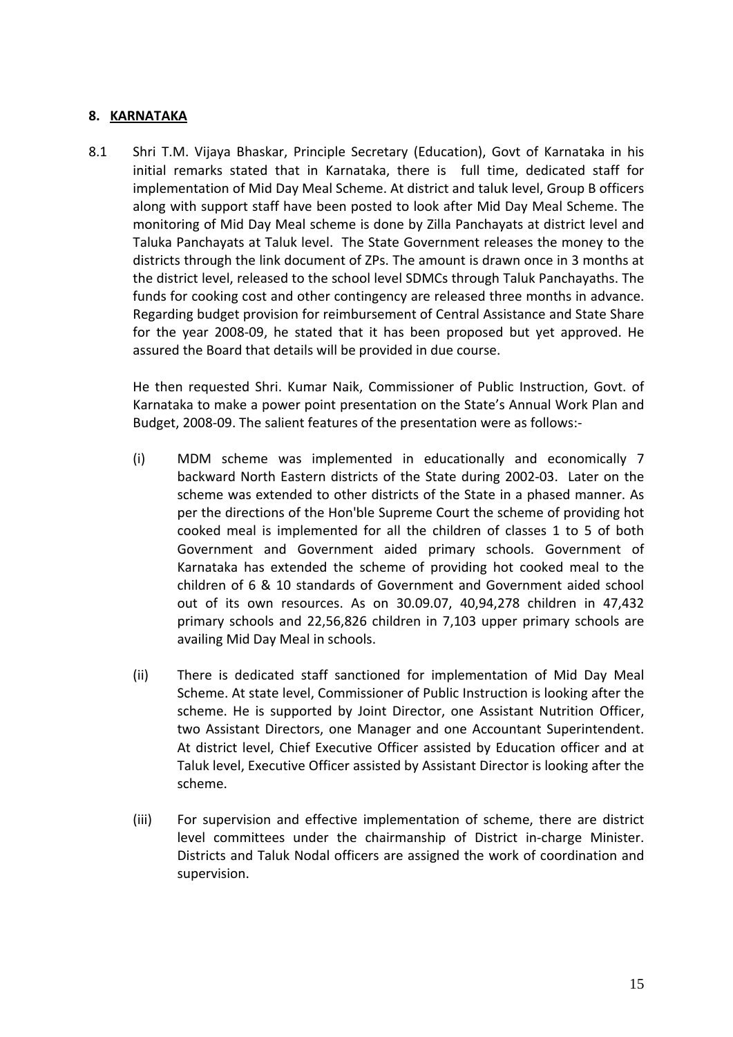### **8. KARNATAKA**

8.1 Shri T.M. Vijaya Bhaskar, Principle Secretary (Education), Govt of Karnataka in his initial remarks stated that in Karnataka, there is full time, dedicated staff for implementation of Mid Day Meal Scheme. At district and taluk level, Group B officers along with support staff have been posted to look after Mid Day Meal Scheme. The monitoring of Mid Day Meal scheme is done by Zilla Panchayats at district level and Taluka Panchayats at Taluk level. The State Government releases the money to the districts through the link document of ZPs. The amount is drawn once in 3 months at the district level, released to the school level SDMCs through Taluk Panchayaths. The funds for cooking cost and other contingency are released three months in advance. Regarding budget provision for reimbursement of Central Assistance and State Share for the year 2008‐09, he stated that it has been proposed but yet approved. He assured the Board that details will be provided in due course.

He then requested Shri. Kumar Naik, Commissioner of Public Instruction, Govt. of Karnataka to make a power point presentation on the State's Annual Work Plan and Budget, 2008‐09. The salient features of the presentation were as follows:‐

- (i) MDM scheme was implemented in educationally and economically 7 backward North Eastern districts of the State during 2002‐03. Later on the scheme was extended to other districts of the State in a phased manner. As per the directions of the Hon'ble Supreme Court the scheme of providing hot cooked meal is implemented for all the children of classes 1 to 5 of both Government and Government aided primary schools. Government of Karnataka has extended the scheme of providing hot cooked meal to the children of 6 & 10 standards of Government and Government aided school out of its own resources. As on 30.09.07, 40,94,278 children in 47,432 primary schools and 22,56,826 children in 7,103 upper primary schools are availing Mid Day Meal in schools.
- (ii) There is dedicated staff sanctioned for implementation of Mid Day Meal Scheme. At state level, Commissioner of Public Instruction is looking after the scheme. He is supported by Joint Director, one Assistant Nutrition Officer, two Assistant Directors, one Manager and one Accountant Superintendent. At district level, Chief Executive Officer assisted by Education officer and at Taluk level, Executive Officer assisted by Assistant Director is looking after the scheme.
- (iii) For supervision and effective implementation of scheme, there are district level committees under the chairmanship of District in‐charge Minister. Districts and Taluk Nodal officers are assigned the work of coordination and supervision.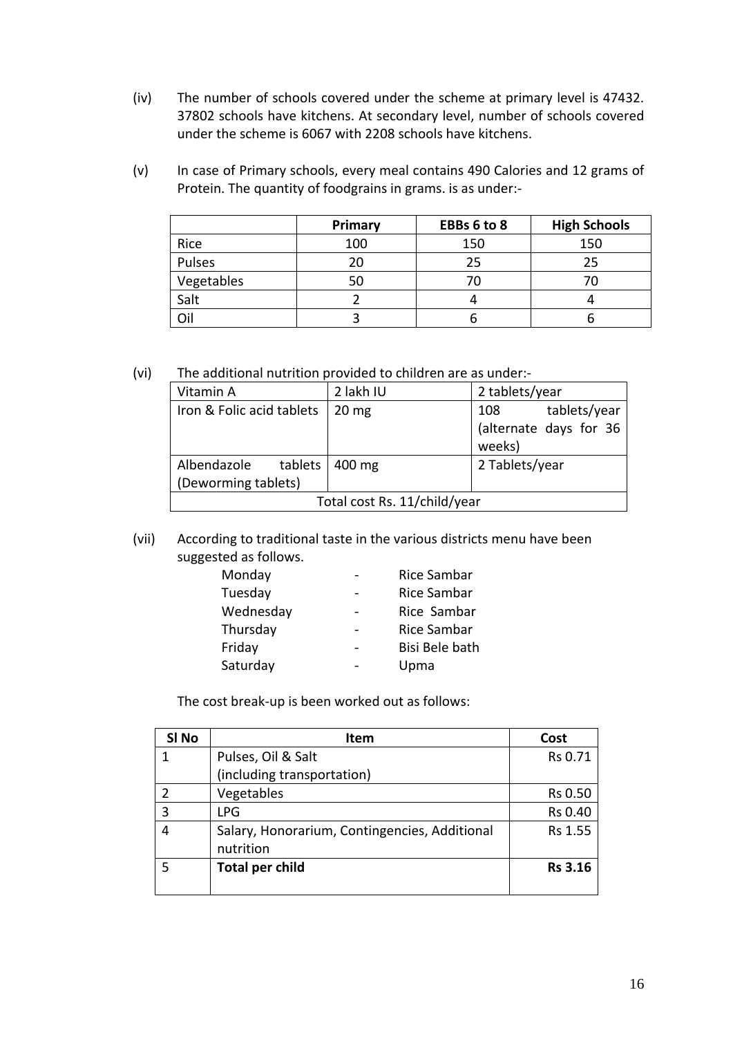- (iv) The number of schools covered under the scheme at primary level is 47432. 37802 schools have kitchens. At secondary level, number of schools covered under the scheme is 6067 with 2208 schools have kitchens.
- (v) In case of Primary schools, every meal contains 490 Calories and 12 grams of Protein. The quantity of foodgrains in grams. is as under:‐

|            | Primary | EBBs 6 to 8 | <b>High Schools</b> |
|------------|---------|-------------|---------------------|
| Rice       | 100     | 150         | 150                 |
| Pulses     | 20      | 25          | 25                  |
| Vegetables | 50      |             |                     |
| Salt       |         |             |                     |
| Oil        |         |             |                     |

(vi) The additional nutrition provided to children are as under:‐

| Vitamin A                    | 2 lakh IU       | 2 tablets/year         |  |
|------------------------------|-----------------|------------------------|--|
| Iron & Folic acid tablets    | $20 \text{ mg}$ | tablets/year<br>108    |  |
|                              |                 | (alternate days for 36 |  |
|                              |                 | weeks)                 |  |
| Albendazole<br>tablets       | 400 mg          | 2 Tablets/year         |  |
| (Deworming tablets)          |                 |                        |  |
| Total cost Rs. 11/child/year |                 |                        |  |

(vii) According to traditional taste in the various districts menu have been suggested as follows.

| Monday    | <b>Rice Sambar</b> |
|-----------|--------------------|
| Tuesday   | Rice Sambar        |
| Wednesday | Rice Sambar        |
| Thursday  | Rice Sambar        |
| Friday    | Bisi Bele bath     |
| Saturday  | Upma               |

The cost break‐up is been worked out as follows:

| SI <sub>No</sub> | <b>Item</b>                                                | Cost           |
|------------------|------------------------------------------------------------|----------------|
| 1                | Pulses, Oil & Salt                                         | Rs 0.71        |
|                  | (including transportation)                                 |                |
|                  | Vegetables                                                 | Rs 0.50        |
| 3                | <b>LPG</b>                                                 | Rs 0.40        |
| 4                | Salary, Honorarium, Contingencies, Additional<br>nutrition | Rs 1.55        |
| 5                | <b>Total per child</b>                                     | <b>Rs 3.16</b> |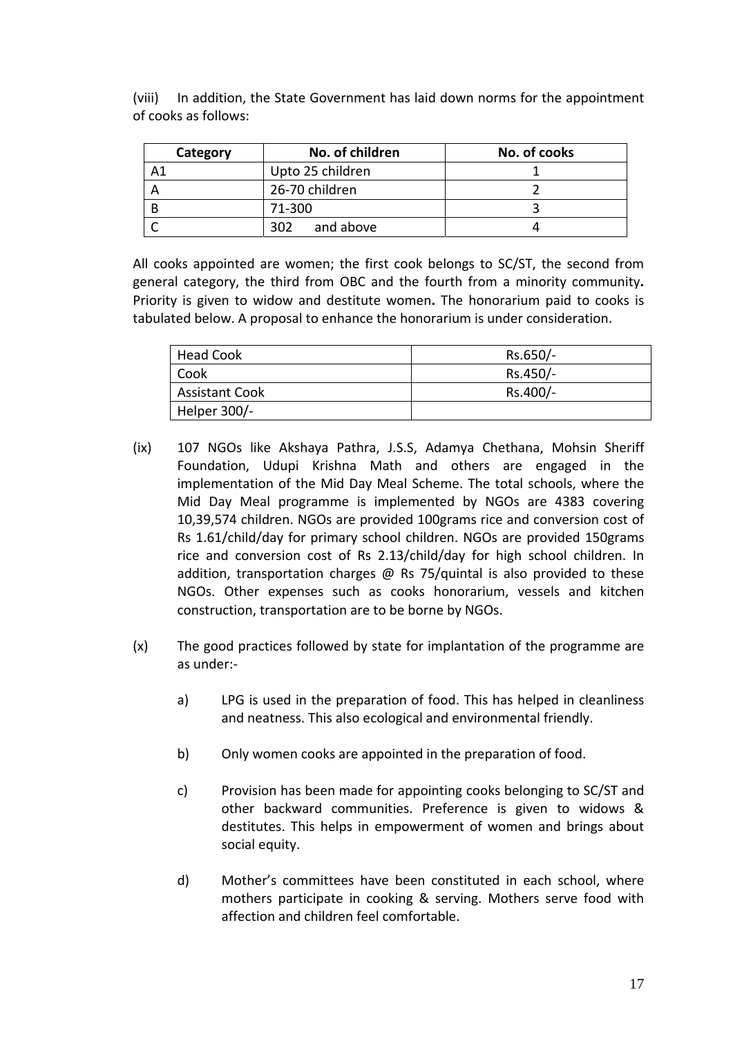| Category | No. of children  | No. of cooks |
|----------|------------------|--------------|
|          | Upto 25 children |              |
|          | 26-70 children   |              |
|          | 71-300           |              |
|          | and above<br>302 |              |

(viii) In addition, the State Government has laid down norms for the appointment of cooks as follows:

All cooks appointed are women; the first cook belongs to SC/ST, the second from general category, the third from OBC and the fourth from a minority community**.** Priority is given to widow and destitute women**.** The honorarium paid to cooks is tabulated below. A proposal to enhance the honorarium is under consideration.

| Head Cook             | Rs.650/- |
|-----------------------|----------|
| Cook                  | Rs.450/- |
| <b>Assistant Cook</b> | Rs.400/- |
| Helper 300/-          |          |

- (ix) 107 NGOs like Akshaya Pathra, J.S.S, Adamya Chethana, Mohsin Sheriff Foundation, Udupi Krishna Math and others are engaged in the implementation of the Mid Day Meal Scheme. The total schools, where the Mid Day Meal programme is implemented by NGOs are 4383 covering 10,39,574 children. NGOs are provided 100grams rice and conversion cost of Rs 1.61/child/day for primary school children. NGOs are provided 150grams rice and conversion cost of Rs 2.13/child/day for high school children. In addition, transportation charges  $\omega$  Rs 75/quintal is also provided to these NGOs. Other expenses such as cooks honorarium, vessels and kitchen construction, transportation are to be borne by NGOs.
- (x) The good practices followed by state for implantation of the programme are as under:‐
	- a) LPG is used in the preparation of food. This has helped in cleanliness and neatness. This also ecological and environmental friendly.
	- b) Only women cooks are appointed in the preparation of food.
	- c) Provision has been made for appointing cooks belonging to SC/ST and other backward communities. Preference is given to widows & destitutes. This helps in empowerment of women and brings about social equity.
	- d) Mother's committees have been constituted in each school, where mothers participate in cooking & serving. Mothers serve food with affection and children feel comfortable.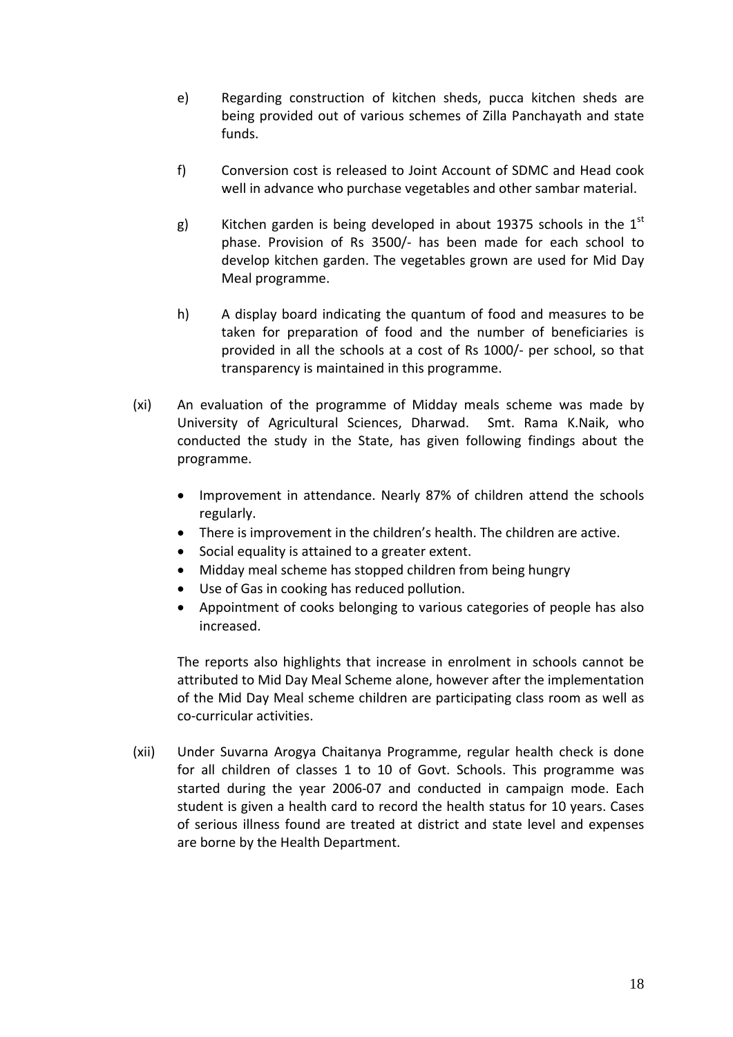- e) Regarding construction of kitchen sheds, pucca kitchen sheds are being provided out of various schemes of Zilla Panchayath and state funds.
- f) Conversion cost is released to Joint Account of SDMC and Head cook well in advance who purchase vegetables and other sambar material.
- g) Kitchen garden is being developed in about 19375 schools in the  $1<sup>st</sup>$ phase. Provision of Rs 3500/‐ has been made for each school to develop kitchen garden. The vegetables grown are used for Mid Day Meal programme.
- h) A display board indicating the quantum of food and measures to be taken for preparation of food and the number of beneficiaries is provided in all the schools at a cost of Rs 1000/‐ per school, so that transparency is maintained in this programme.
- (xi) An evaluation of the programme of Midday meals scheme was made by University of Agricultural Sciences, Dharwad. Smt. Rama K.Naik, who conducted the study in the State, has given following findings about the programme.
	- Improvement in attendance. Nearly 87% of children attend the schools regularly.
	- There is improvement in the children's health. The children are active.
	- Social equality is attained to a greater extent.
	- Midday meal scheme has stopped children from being hungry
	- Use of Gas in cooking has reduced pollution.
	- Appointment of cooks belonging to various categories of people has also increased.

The reports also highlights that increase in enrolment in schools cannot be attributed to Mid Day Meal Scheme alone, however after the implementation of the Mid Day Meal scheme children are participating class room as well as co‐curricular activities.

(xii) Under Suvarna Arogya Chaitanya Programme, regular health check is done for all children of classes 1 to 10 of Govt. Schools. This programme was started during the year 2006‐07 and conducted in campaign mode. Each student is given a health card to record the health status for 10 years. Cases of serious illness found are treated at district and state level and expenses are borne by the Health Department.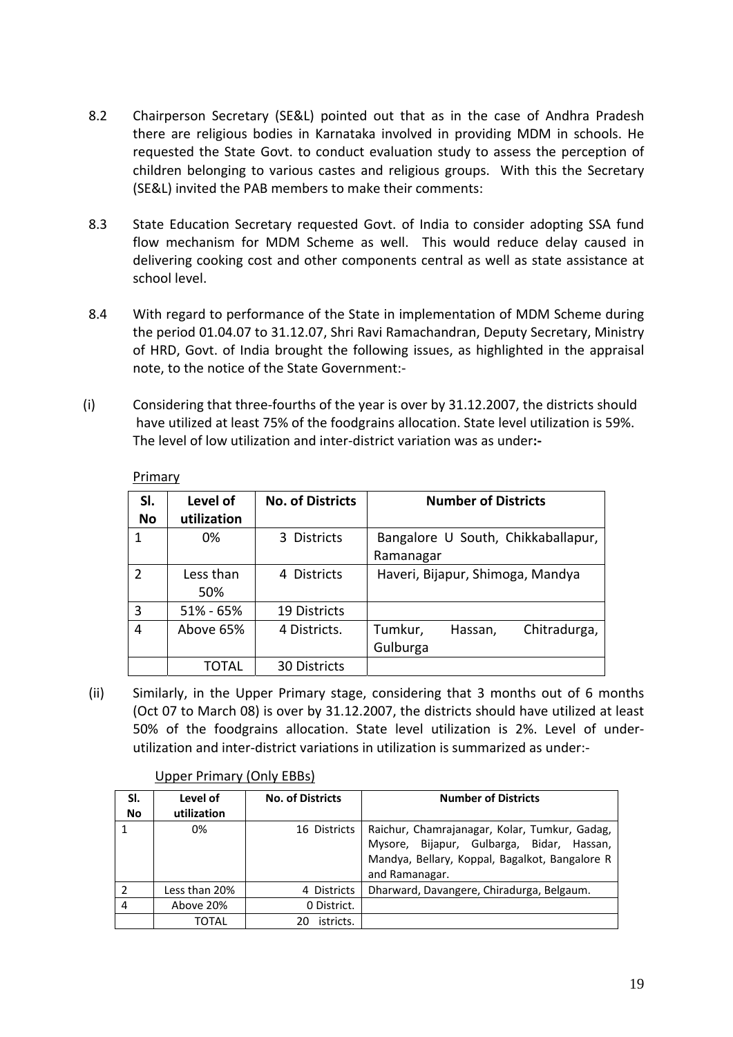- 8.2 Chairperson Secretary (SE&L) pointed out that as in the case of Andhra Pradesh there are religious bodies in Karnataka involved in providing MDM in schools. He requested the State Govt. to conduct evaluation study to assess the perception of children belonging to various castes and religious groups. With this the Secretary (SE&L) invited the PAB members to make their comments:
- 8.3 State Education Secretary requested Govt. of India to consider adopting SSA fund flow mechanism for MDM Scheme as well. This would reduce delay caused in delivering cooking cost and other components central as well as state assistance at school level.
- 8.4 With regard to performance of the State in implementation of MDM Scheme during the period 01.04.07 to 31.12.07, Shri Ravi Ramachandran, Deputy Secretary, Ministry of HRD, Govt. of India brought the following issues, as highlighted in the appraisal note, to the notice of the State Government:‐
- (i) Considering that three‐fourths of the year is over by 31.12.2007, the districts should have utilized at least 75% of the foodgrains allocation. State level utilization is 59%. The level of low utilization and inter‐district variation was as under**:‐**

| SI.<br><b>No</b> | Level of<br>utilization | <b>No. of Districts</b> |                     | <b>Number of Districts</b> |                                    |
|------------------|-------------------------|-------------------------|---------------------|----------------------------|------------------------------------|
| 1                | 0%                      | 3 Districts             | Ramanagar           |                            | Bangalore U South, Chikkaballapur, |
| 2                | Less than<br>50%        | 4 Districts             |                     |                            | Haveri, Bijapur, Shimoga, Mandya   |
| 3                | $51\% - 65\%$           | <b>19 Districts</b>     |                     |                            |                                    |
| 4                | Above 65%               | 4 Districts.            | Tumkur,<br>Gulburga | Hassan,                    | Chitradurga,                       |
|                  | FOTAL                   | <b>30 Districts</b>     |                     |                            |                                    |

**Primary** 

(ii) Similarly, in the Upper Primary stage, considering that 3 months out of 6 months (Oct 07 to March 08) is over by 31.12.2007, the districts should have utilized at least 50% of the foodgrains allocation. State level utilization is 2%. Level of under‐ utilization and inter‐district variations in utilization is summarized as under:‐

| SI.<br><b>No</b> | Level of<br>utilization | <b>No. of Districts</b> | <b>Number of Districts</b>                                                                                                                                     |
|------------------|-------------------------|-------------------------|----------------------------------------------------------------------------------------------------------------------------------------------------------------|
|                  | 0%                      | 16 Districts            | Raichur, Chamrajanagar, Kolar, Tumkur, Gadag,<br>Mysore, Bijapur, Gulbarga, Bidar, Hassan,<br>Mandya, Bellary, Koppal, Bagalkot, Bangalore R<br>and Ramanagar. |
| $\overline{2}$   | Less than 20%           | 4 Districts             | Dharward, Davangere, Chiradurga, Belgaum.                                                                                                                      |
| $\overline{4}$   | Above 20%               | 0 District.             |                                                                                                                                                                |
|                  | TOTAL                   | istricts.<br>20         |                                                                                                                                                                |

# Upper Primary (Only EBBs)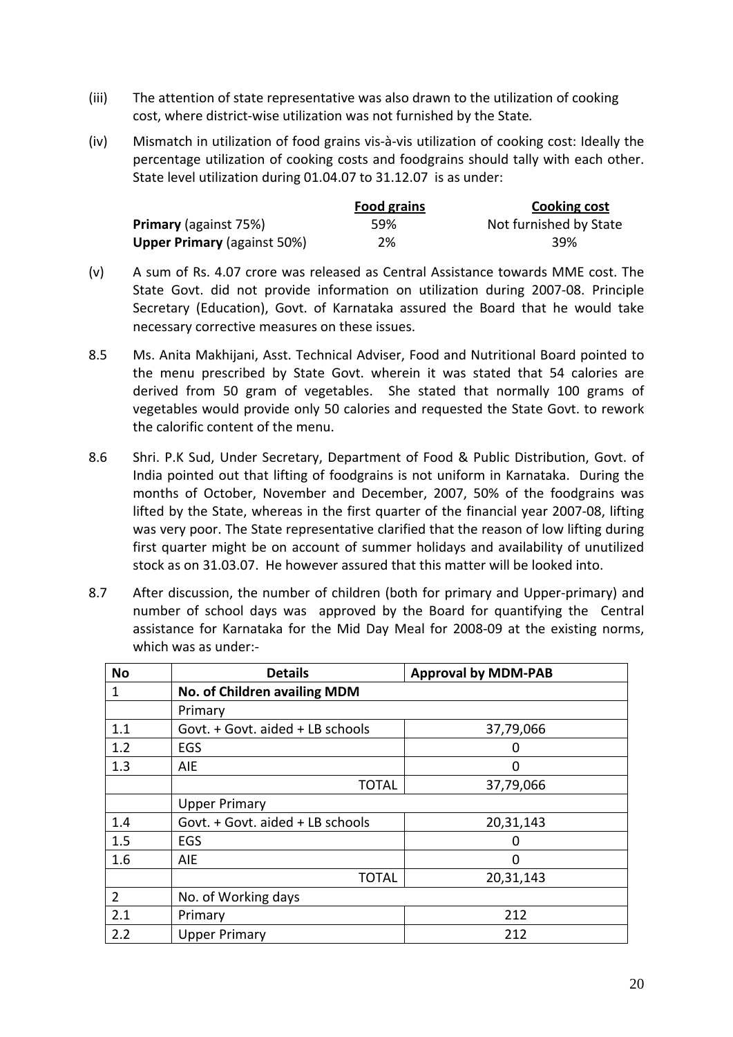- (iii) The attention of state representative was also drawn to the utilization of cooking cost, where district‐wise utilization was not furnished by the State*.*
- (iv) Mismatch in utilization of food grains vis‐à‐vis utilization of cooking cost: Ideally the percentage utilization of cooking costs and foodgrains should tally with each other. State level utilization during 01.04.07 to 31.12.07 is as under:

|                                    | <b>Food grains</b> | Cooking cost           |
|------------------------------------|--------------------|------------------------|
| <b>Primary</b> (against 75%)       | 59%                | Not furnished by State |
| <b>Upper Primary (against 50%)</b> | 2%                 | 39%                    |

- (v) A sum of Rs. 4.07 crore was released as Central Assistance towards MME cost. The State Govt. did not provide information on utilization during 2007‐08. Principle Secretary (Education), Govt. of Karnataka assured the Board that he would take necessary corrective measures on these issues.
- 8.5 Ms. Anita Makhijani, Asst. Technical Adviser, Food and Nutritional Board pointed to the menu prescribed by State Govt. wherein it was stated that 54 calories are derived from 50 gram of vegetables. She stated that normally 100 grams of vegetables would provide only 50 calories and requested the State Govt. to rework the calorific content of the menu.
- 8.6 Shri. P.K Sud, Under Secretary, Department of Food & Public Distribution, Govt. of India pointed out that lifting of foodgrains is not uniform in Karnataka. During the months of October, November and December, 2007, 50% of the foodgrains was lifted by the State, whereas in the first quarter of the financial year 2007‐08, lifting was very poor. The State representative clarified that the reason of low lifting during first quarter might be on account of summer holidays and availability of unutilized stock as on 31.03.07. He however assured that this matter will be looked into.
- 8.7 After discussion, the number of children (both for primary and Upper‐primary) and number of school days was approved by the Board for quantifying the Central assistance for Karnataka for the Mid Day Meal for 2008‐09 at the existing norms, which was as under:‐

| <b>No</b>      | <b>Details</b>                                | <b>Approval by MDM-PAB</b> |  |
|----------------|-----------------------------------------------|----------------------------|--|
| 1              | No. of Children availing MDM                  |                            |  |
|                | Primary                                       |                            |  |
| 1.1            | Govt. + Govt. aided + LB schools              | 37,79,066                  |  |
| 1.2            | EGS                                           | 0                          |  |
| 1.3            | AIE.                                          | $\Omega$                   |  |
|                | <b>TOTAL</b>                                  | 37,79,066                  |  |
|                | <b>Upper Primary</b>                          |                            |  |
| 1.4            | Govt. + Govt. aided + LB schools<br>20,31,143 |                            |  |
| 1.5            | EGS                                           | 0                          |  |
| 1.6            | AIE                                           | 0                          |  |
|                | <b>TOTAL</b>                                  | 20,31,143                  |  |
| $\overline{2}$ | No. of Working days                           |                            |  |
| 2.1            | 212<br>Primary                                |                            |  |
| 2.2            | 212<br><b>Upper Primary</b>                   |                            |  |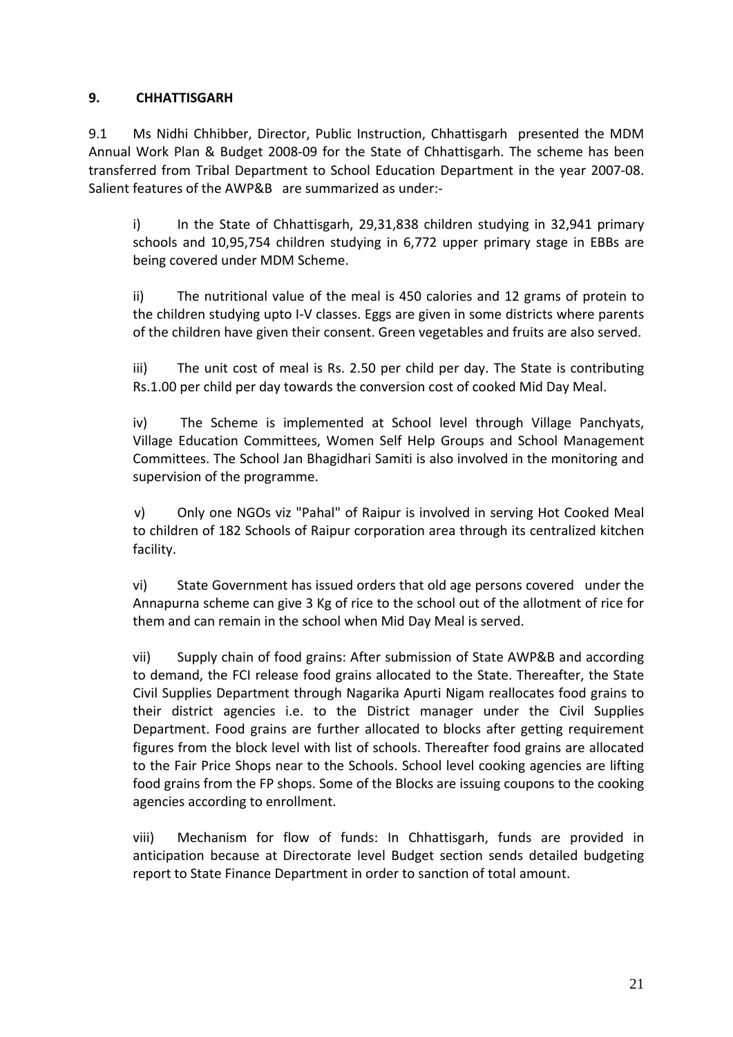# **9. CHHATTISGARH**

9.1 Ms Nidhi Chhibber, Director, Public Instruction, Chhattisgarh presented the MDM Annual Work Plan & Budget 2008‐09 for the State of Chhattisgarh. The scheme has been transferred from Tribal Department to School Education Department in the year 2007‐08. Salient features of the AWP&B are summarized as under:‐

i) In the State of Chhattisgarh, 29,31,838 children studying in 32,941 primary schools and 10,95,754 children studying in 6,772 upper primary stage in EBBs are being covered under MDM Scheme.

ii) The nutritional value of the meal is 450 calories and 12 grams of protein to the children studying upto I‐V classes. Eggs are given in some districts where parents of the children have given their consent. Green vegetables and fruits are also served.

iii) The unit cost of meal is Rs. 2.50 per child per day. The State is contributing Rs.1.00 per child per day towards the conversion cost of cooked Mid Day Meal.

iv) The Scheme is implemented at School level through Village Panchyats, Village Education Committees, Women Self Help Groups and School Management Committees. The School Jan Bhagidhari Samiti is also involved in the monitoring and supervision of the programme.

v) Only one NGOs viz "Pahal" of Raipur is involved in serving Hot Cooked Meal to children of 182 Schools of Raipur corporation area through its centralized kitchen facility.

vi) State Government has issued orders that old age persons covered under the Annapurna scheme can give 3 Kg of rice to the school out of the allotment of rice for them and can remain in the school when Mid Day Meal is served.

vii) Supply chain of food grains: After submission of State AWP&B and according to demand, the FCI release food grains allocated to the State. Thereafter, the State Civil Supplies Department through Nagarika Apurti Nigam reallocates food grains to their district agencies i.e. to the District manager under the Civil Supplies Department. Food grains are further allocated to blocks after getting requirement figures from the block level with list of schools. Thereafter food grains are allocated to the Fair Price Shops near to the Schools. School level cooking agencies are lifting food grains from the FP shops. Some of the Blocks are issuing coupons to the cooking agencies according to enrollment.

viii) Mechanism for flow of funds: In Chhattisgarh, funds are provided in anticipation because at Directorate level Budget section sends detailed budgeting report to State Finance Department in order to sanction of total amount.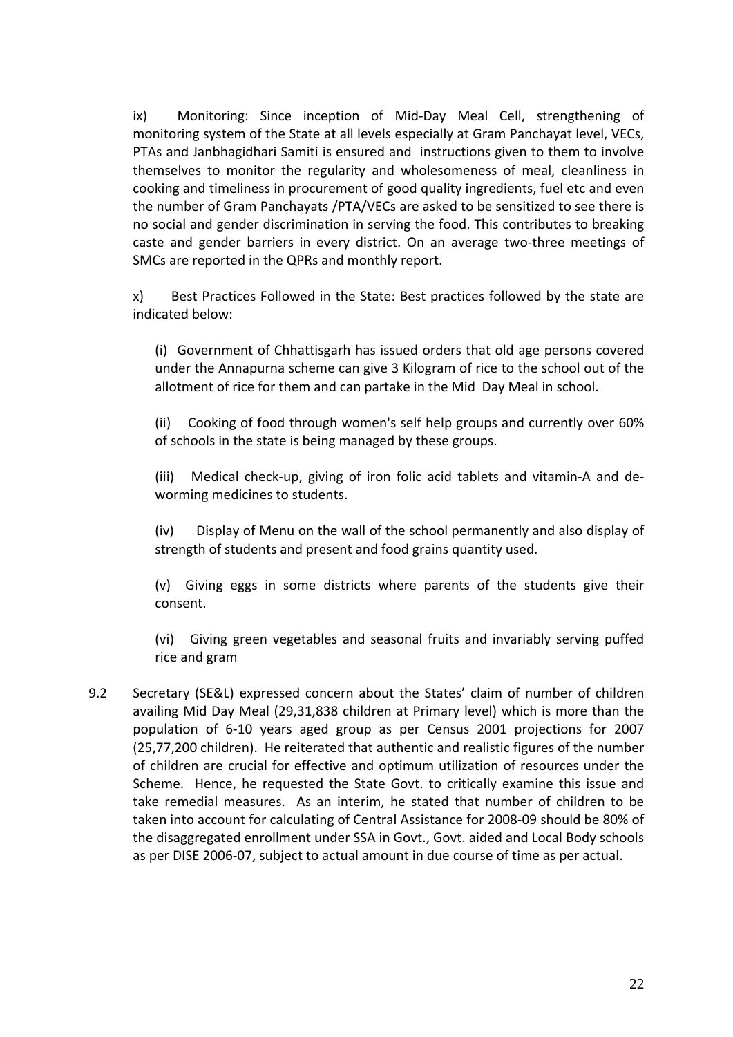ix) Monitoring: Since inception of Mid‐Day Meal Cell, strengthening of monitoring system of the State at all levels especially at Gram Panchayat level, VECs, PTAs and Janbhagidhari Samiti is ensured and instructions given to them to involve themselves to monitor the regularity and wholesomeness of meal, cleanliness in cooking and timeliness in procurement of good quality ingredients, fuel etc and even the number of Gram Panchayats /PTA/VECs are asked to be sensitized to see there is no social and gender discrimination in serving the food. This contributes to breaking caste and gender barriers in every district. On an average two‐three meetings of SMCs are reported in the QPRs and monthly report.

x)Best Practices Followed in the State: Best practices followed by the state are indicated below:

(i) Government of Chhattisgarh has issued orders that old age persons covered under the Annapurna scheme can give 3 Kilogram of rice to the school out of the allotment of rice for them and can partake in the Mid Day Meal in school.

(ii) Cooking of food through women's self help groups and currently over 60% of schools in the state is being managed by these groups.

(iii) Medical check‐up, giving of iron folic acid tablets and vitamin‐A and de‐ worming medicines to students.

(iv) Display of Menu on the wall of the school permanently and also display of strength of students and present and food grains quantity used.

(v) Giving eggs in some districts where parents of the students give their consent.

(vi) Giving green vegetables and seasonal fruits and invariably serving puffed rice and gram

9.2 Secretary (SE&L) expressed concern about the States' claim of number of children availing Mid Day Meal (29,31,838 children at Primary level) which is more than the population of 6‐10 years aged group as per Census 2001 projections for 2007 (25,77,200 children). He reiterated that authentic and realistic figures of the number of children are crucial for effective and optimum utilization of resources under the Scheme. Hence, he requested the State Govt. to critically examine this issue and take remedial measures. As an interim, he stated that number of children to be taken into account for calculating of Central Assistance for 2008‐09 should be 80% of the disaggregated enrollment under SSA in Govt., Govt. aided and Local Body schools as per DISE 2006‐07, subject to actual amount in due course of time as per actual.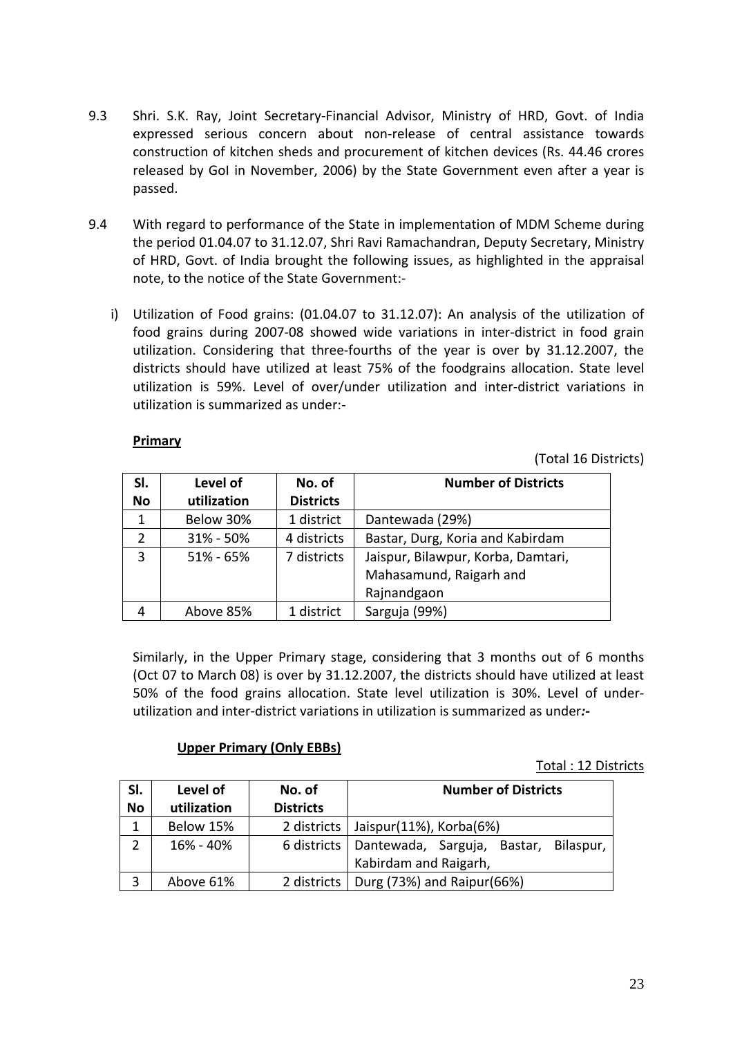- 9.3 Shri. S.K. Ray, Joint Secretary‐Financial Advisor, Ministry of HRD, Govt. of India expressed serious concern about non‐release of central assistance towards construction of kitchen sheds and procurement of kitchen devices (Rs. 44.46 crores released by GoI in November, 2006) by the State Government even after a year is passed.
- 9.4 With regard to performance of the State in implementation of MDM Scheme during the period 01.04.07 to 31.12.07, Shri Ravi Ramachandran, Deputy Secretary, Ministry of HRD, Govt. of India brought the following issues, as highlighted in the appraisal note, to the notice of the State Government:‐ 
	- i) Utilization of Food grains: (01.04.07 to 31.12.07): An analysis of the utilization of food grains during 2007‐08 showed wide variations in inter‐district in food grain utilization. Considering that three‐fourths of the year is over by 31.12.2007, the districts should have utilized at least 75% of the foodgrains allocation. State level utilization is 59%. Level of over/under utilization and inter‐district variations in utilization is summarized as under:‐

# **Primary**

(Total 16 Districts)

| SI.       | Level of      | No. of           | <b>Number of Districts</b>         |
|-----------|---------------|------------------|------------------------------------|
| <b>No</b> | utilization   | <b>Districts</b> |                                    |
|           | Below 30%     | 1 district       | Dantewada (29%)                    |
| 2         | $31\% - 50\%$ | 4 districts      | Bastar, Durg, Koria and Kabirdam   |
| 3         | $51\% - 65\%$ | 7 districts      | Jaispur, Bilawpur, Korba, Damtari, |
|           |               |                  | Mahasamund, Raigarh and            |
|           |               |                  | Rajnandgaon                        |
| 4         | Above 85%     | 1 district       | Sarguja (99%)                      |

Similarly, in the Upper Primary stage, considering that 3 months out of 6 months (Oct 07 to March 08) is over by 31.12.2007, the districts should have utilized at least 50% of the food grains allocation. State level utilization is 30%. Level of under‐ utilization and inter‐district variations in utilization is summarized as under*:‐* 

#### **Upper Primary (Only EBBs)**

Total : 12 Districts

| SI.            | Level of    | No. of           | <b>Number of Districts</b>                             |
|----------------|-------------|------------------|--------------------------------------------------------|
| <b>No</b>      | utilization | <b>Districts</b> |                                                        |
| $\mathbf{1}$   | Below 15%   | 2 districts      | Jaispur(11%), Korba(6%)                                |
| $\overline{2}$ | 16% - 40%   |                  | 6 districts   Dantewada, Sarguja, Bastar,<br>Bilaspur, |
|                |             |                  | Kabirdam and Raigarh,                                  |
| 3              | Above 61%   | 2 districts      | Durg (73%) and Raipur(66%)                             |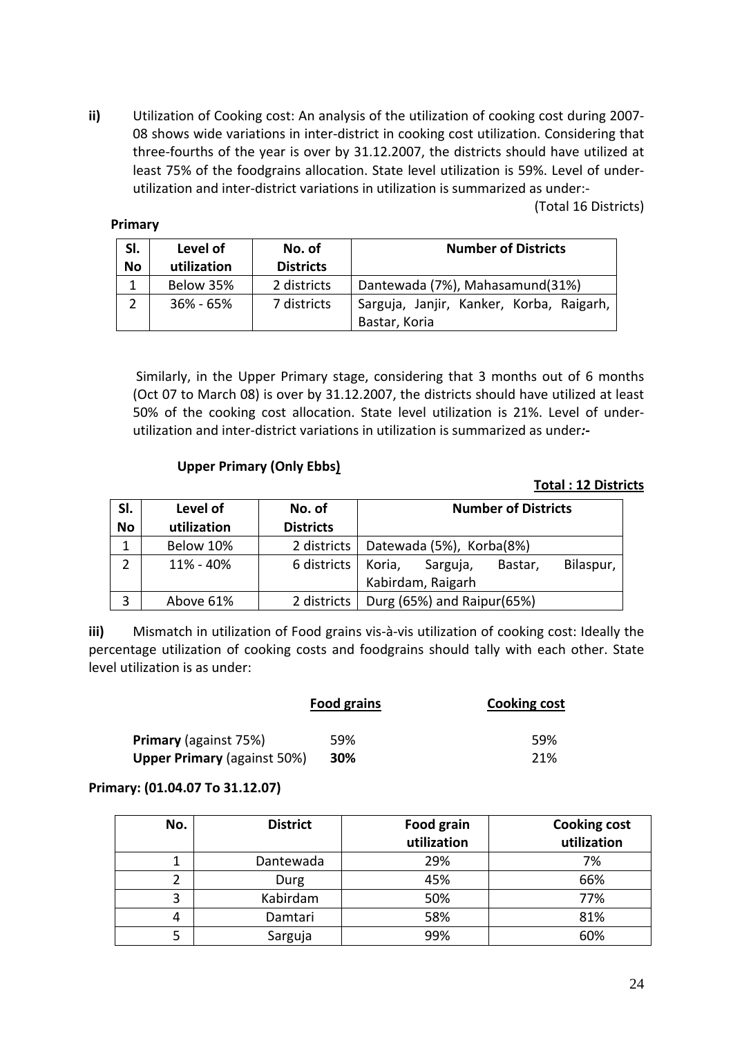**ii)** Utilization of Cooking cost: An analysis of the utilization of cooking cost during 2007‐ 08 shows wide variations in inter‐district in cooking cost utilization. Considering that three‐fourths of the year is over by 31.12.2007, the districts should have utilized at least 75% of the foodgrains allocation. State level utilization is 59%. Level of under‐ utilization and inter‐district variations in utilization is summarized as under:‐

(Total 16 Districts)

#### **Primary**

| SI.       | Level of      | No. of           | <b>Number of Districts</b>                                |
|-----------|---------------|------------------|-----------------------------------------------------------|
| <b>No</b> | utilization   | <b>Districts</b> |                                                           |
|           | Below 35%     | 2 districts      | Dantewada (7%), Mahasamund(31%)                           |
|           | $36\% - 65\%$ | 7 districts      | Sarguja, Janjir, Kanker, Korba, Raigarh,<br>Bastar, Koria |

 Similarly, in the Upper Primary stage, considering that 3 months out of 6 months (Oct 07 to March 08) is over by 31.12.2007, the districts should have utilized at least 50% of the cooking cost allocation. State level utilization is 21%. Level of under‐ utilization and inter‐district variations in utilization is summarized as under*:‐* 

#### **Upper Primary (Only Ebbs)**

#### **Total : 12 Districts**

| SI.<br>No      | Level of<br>utilization | No. of<br><b>Districts</b> | <b>Number of Districts</b>                                      |
|----------------|-------------------------|----------------------------|-----------------------------------------------------------------|
| 1              | Below 10%               | 2 districts                | Datewada (5%), Korba(8%)                                        |
| $\mathfrak{p}$ | 11% - 40%               | 6 districts                | Bilaspur,<br>Koria,<br>Sarguja,<br>Bastar,<br>Kabirdam, Raigarh |
| 3              | Above 61%               | 2 districts                | Durg (65%) and Raipur(65%)                                      |

**iii)** Mismatch in utilization of Food grains vis-à-vis utilization of cooking cost: Ideally the percentage utilization of cooking costs and foodgrains should tally with each other. State level utilization is as under:

|                                    | Food grains | <b>Cooking cost</b> |
|------------------------------------|-------------|---------------------|
| <b>Primary</b> (against 75%)       | 59%         | 59%                 |
| <b>Upper Primary (against 50%)</b> | 30%         | 21%                 |

#### **Primary: (01.04.07 To 31.12.07)**

| No. | <b>District</b> | Food grain<br>utilization | <b>Cooking cost</b><br>utilization |
|-----|-----------------|---------------------------|------------------------------------|
|     | Dantewada       | 29%                       | 7%                                 |
|     | Durg            | 45%                       | 66%                                |
| 3   | Kabirdam        | 50%                       | 77%                                |
| 4   | Damtari         | 58%                       | 81%                                |
|     | Sarguja         | 99%                       | 60%                                |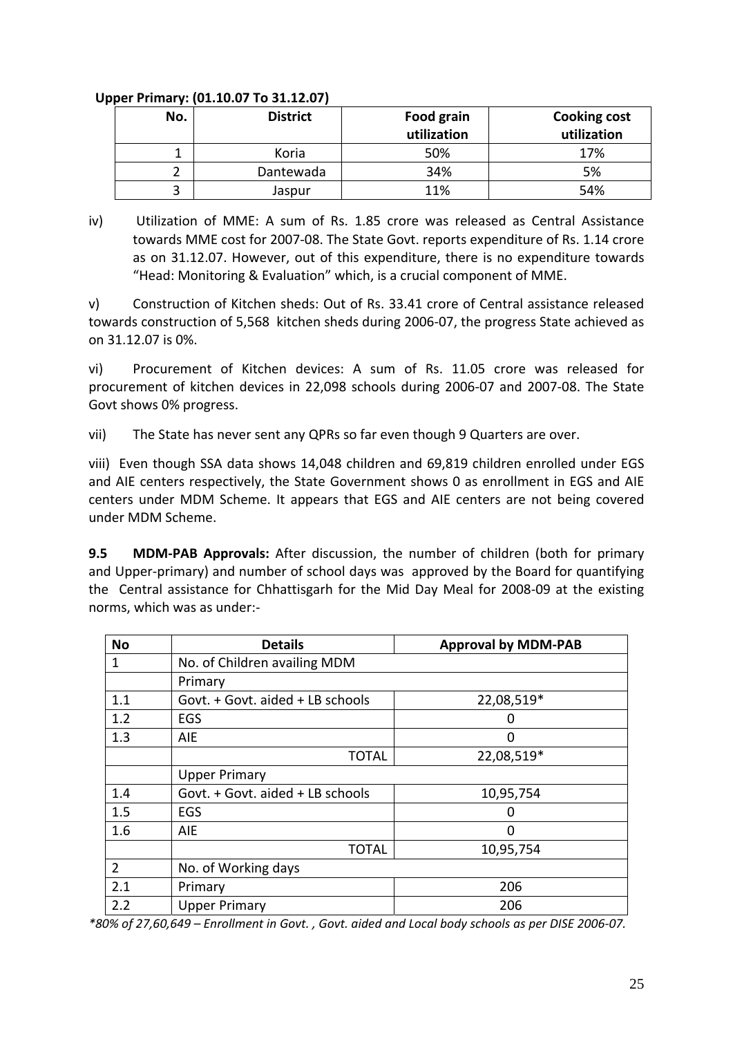### **Upper Primary: (01.10.07 To 31.12.07)**

| No. | <b>District</b> | <b>Food grain</b><br>utilization | <b>Cooking cost</b><br>utilization |
|-----|-----------------|----------------------------------|------------------------------------|
|     | Koria           | 50%                              | 17%                                |
|     | Dantewada       | 34%                              | 5%                                 |
|     | Jaspur          | 11%                              | 54%                                |

iv)Utilization of MME: A sum of Rs. 1.85 crore was released as Central Assistance towards MME cost for 2007‐08. The State Govt. reports expenditure of Rs. 1.14 crore as on 31.12.07. However, out of this expenditure, there is no expenditure towards "Head: Monitoring & Evaluation" which, is a crucial component of MME.

v) Construction of Kitchen sheds: Out of Rs. 33.41 crore of Central assistance released towards construction of 5,568 kitchen sheds during 2006‐07, the progress State achieved as on 31.12.07 is 0%.

vi) Procurement of Kitchen devices: A sum of Rs. 11.05 crore was released for procurement of kitchen devices in 22,098 schools during 2006‐07 and 2007‐08. The State Govt shows 0% progress.

vii) The State has never sent any QPRs so far even though 9 Quarters are over.

viii) Even though SSA data shows 14,048 children and 69,819 children enrolled under EGS and AIE centers respectively, the State Government shows 0 as enrollment in EGS and AIE centers under MDM Scheme. It appears that EGS and AIE centers are not being covered under MDM Scheme.

**9.5 MDM‐PAB Approvals:** After discussion, the number of children (both for primary and Upper-primary) and number of school days was approved by the Board for quantifying the Central assistance for Chhattisgarh for the Mid Day Meal for 2008‐09 at the existing norms, which was as under:‐

| <b>No</b> | <b>Details</b>                   | <b>Approval by MDM-PAB</b> |  |
|-----------|----------------------------------|----------------------------|--|
| 1         | No. of Children availing MDM     |                            |  |
|           | Primary                          |                            |  |
| 1.1       | Govt. + Govt. aided + LB schools | 22,08,519*                 |  |
| 1.2       | EGS                              | 0                          |  |
| 1.3       | <b>AIE</b>                       | O                          |  |
|           | <b>TOTAL</b>                     | 22,08,519*                 |  |
|           | <b>Upper Primary</b>             |                            |  |
| 1.4       | Govt. + Govt. aided + LB schools | 10,95,754                  |  |
| 1.5       | EGS                              | O                          |  |
| 1.6       | AIE                              | ∩                          |  |
|           | <b>TOTAL</b>                     | 10,95,754                  |  |
| 2         | No. of Working days              |                            |  |
| 2.1       | Primary                          | 206                        |  |
| 2.2       | <b>Upper Primary</b>             | 206                        |  |

\*80% of 27,60,649 - Enrollment in Govt., Govt. aided and Local body schools as per DISE 2006-07.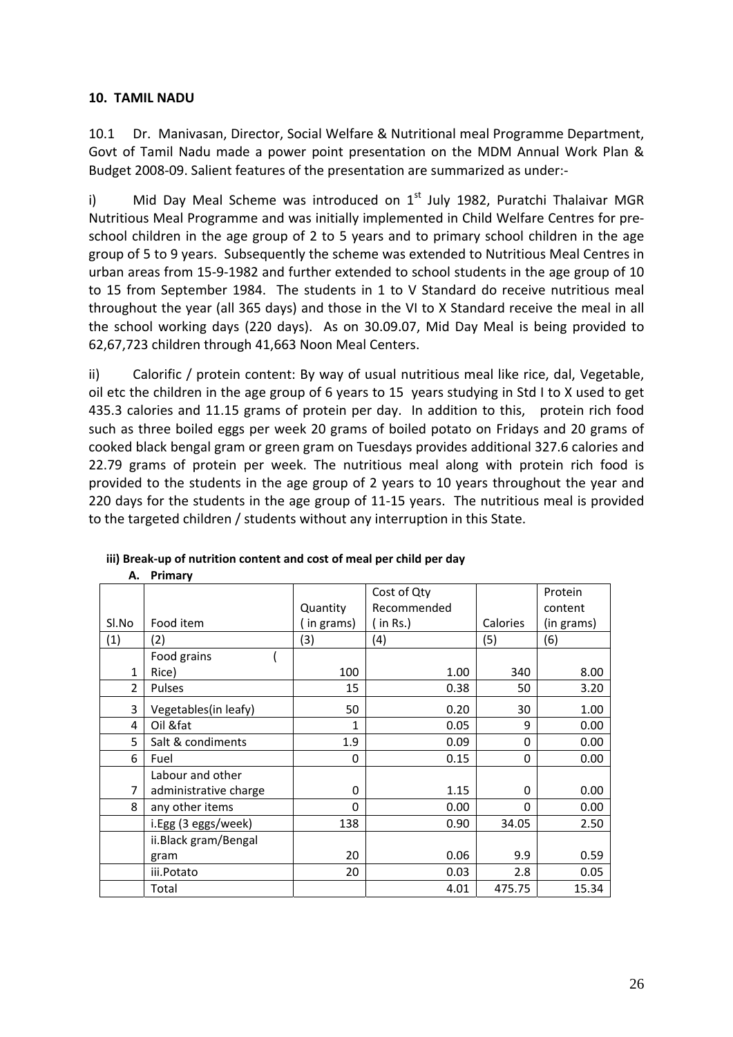# **10. TAMIL NADU**

**A. Primary**

10.1 Dr. Manivasan, Director, Social Welfare & Nutritional meal Programme Department, Govt of Tamil Nadu made a power point presentation on the MDM Annual Work Plan & Budget 2008‐09. Salient features of the presentation are summarized as under:‐

i) Mid Day Meal Scheme was introduced on  $1<sup>st</sup>$  July 1982, Puratchi Thalaivar MGR Nutritious Meal Programme and was initially implemented in Child Welfare Centres for pre‐ school children in the age group of 2 to 5 years and to primary school children in the age group of 5 to 9 years. Subsequently the scheme was extended to Nutritious Meal Centres in urban areas from 15‐9‐1982 and further extended to school students in the age group of 10 to 15 from September 1984. The students in 1 to V Standard do receive nutritious meal throughout the year (all 365 days) and those in the VI to X Standard receive the meal in all the school working days (220 days). As on 30.09.07, Mid Day Meal is being provided to 62,67,723 children through 41,663 Noon Meal Centers.

ii) Calorific / protein content: By way of usual nutritious meal like rice, dal, Vegetable, oil etc the children in the age group of 6 years to 15 years studying in Std I to X used to get 435.3 calories and 11.15 grams of protein per day. In addition to this, protein rich food such as three boiled eggs per week 20 grams of boiled potato on Fridays and 20 grams of cooked black bengal gram or green gram on Tuesdays provides additional 327.6 calories and 22.79 grams of protein per week. The nutritious meal along with protein rich food is provided to the students in the age group of 2 years to 10 years throughout the year and 220 days for the students in the age group of 11‐15 years. The nutritious meal is provided to the targeted children / students without any interruption in this State.

|                |                       |           | Cost of Qty |          | Protein    |
|----------------|-----------------------|-----------|-------------|----------|------------|
|                |                       | Quantity  | Recommended |          | content    |
| Sl.No          | Food item             | in grams) | (in Rs.)    | Calories | (in grams) |
| (1)            | (2)                   | (3)       | (4)         | (5)      | (6)        |
|                | Food grains           |           |             |          |            |
| $\mathbf{1}$   | Rice)                 | 100       | 1.00        | 340      | 8.00       |
| $\overline{2}$ | Pulses                | 15        | 0.38        | 50       | 3.20       |
| 3              | Vegetables(in leafy)  | 50        | 0.20        | 30       | 1.00       |
| 4              | Oil &fat              | 1         | 0.05        | 9        | 0.00       |
| 5              | Salt & condiments     | 1.9       | 0.09        | 0        | 0.00       |
| 6              | Fuel                  | 0         | 0.15        | 0        | 0.00       |
|                | Labour and other      |           |             |          |            |
| 7              | administrative charge | 0         | 1.15        | 0        | 0.00       |
| 8              | any other items       | 0         | 0.00        | 0        | 0.00       |
|                | i.Egg (3 eggs/week)   | 138       | 0.90        | 34.05    | 2.50       |
|                | ii.Black gram/Bengal  |           |             |          |            |
|                | gram                  | 20        | 0.06        | 9.9      | 0.59       |
|                | iii.Potato            | 20        | 0.03        | 2.8      | 0.05       |
|                | Total                 |           | 4.01        | 475.75   | 15.34      |

# **iii) Break‐up of nutrition content and cost of meal per child per day**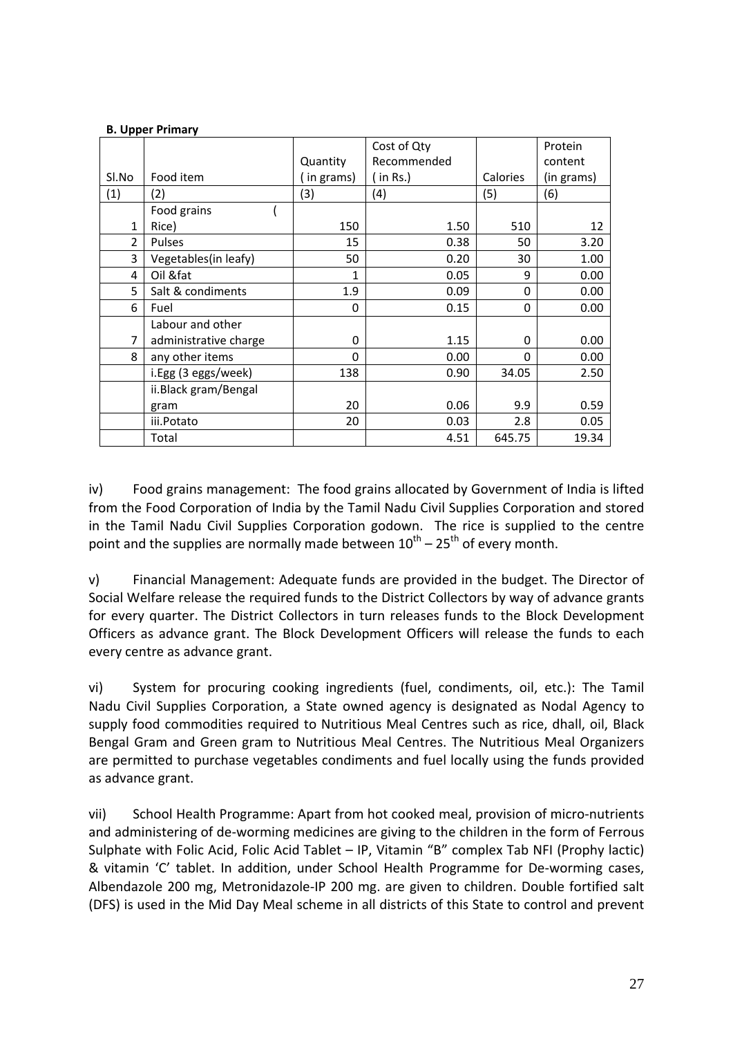#### **B. Upper Primary**

|                |                       |             | Cost of Qty |          | Protein    |
|----------------|-----------------------|-------------|-------------|----------|------------|
|                |                       | Quantity    | Recommended |          | content    |
| Sl.No          | Food item             | in grams)   | (in Rs.)    | Calories | (in grams) |
| (1)            | (2)                   | (3)         | (4)         | (5)      | (6)        |
|                | Food grains           |             |             |          |            |
| $\mathbf{1}$   | Rice)                 | 150         | 1.50        | 510      | 12         |
| $\overline{2}$ | Pulses                | 15          | 0.38        | 50       | 3.20       |
| 3              | Vegetables(in leafy)  | 50          | 0.20        | 30       | 1.00       |
| 4              | Oil &fat              | 1           | 0.05        | 9        | 0.00       |
| 5              | Salt & condiments     | 1.9         | 0.09        | 0        | 0.00       |
| 6              | Fuel                  | $\mathbf 0$ | 0.15        | 0        | 0.00       |
|                | Labour and other      |             |             |          |            |
| 7              | administrative charge | 0           | 1.15        | 0        | 0.00       |
| 8              | any other items       | 0           | 0.00        | 0        | 0.00       |
|                | i.Egg (3 eggs/week)   | 138         | 0.90        | 34.05    | 2.50       |
|                | ii.Black gram/Bengal  |             |             |          |            |
|                | gram                  | 20          | 0.06        | 9.9      | 0.59       |
|                | iii.Potato            | 20          | 0.03        | 2.8      | 0.05       |
|                | Total                 |             | 4.51        | 645.75   | 19.34      |

iv) Food grains management: The food grains allocated by Government of India is lifted from the Food Corporation of India by the Tamil Nadu Civil Supplies Corporation and stored in the Tamil Nadu Civil Supplies Corporation godown. The rice is supplied to the centre point and the supplies are normally made between  $10^{th}$  –  $25^{th}$  of every month.

v) Financial Management: Adequate funds are provided in the budget. The Director of Social Welfare release the required funds to the District Collectors by way of advance grants for every quarter. The District Collectors in turn releases funds to the Block Development Officers as advance grant. The Block Development Officers will release the funds to each every centre as advance grant.

vi) System for procuring cooking ingredients (fuel, condiments, oil, etc.): The Tamil Nadu Civil Supplies Corporation, a State owned agency is designated as Nodal Agency to supply food commodities required to Nutritious Meal Centres such as rice, dhall, oil, Black Bengal Gram and Green gram to Nutritious Meal Centres. The Nutritious Meal Organizers are permitted to purchase vegetables condiments and fuel locally using the funds provided as advance grant.

vii) School Health Programme: Apart from hot cooked meal, provision of micro-nutrients and administering of de‐worming medicines are giving to the children in the form of Ferrous Sulphate with Folic Acid, Folic Acid Tablet – IP, Vitamin "B" complex Tab NFI (Prophy lactic) & vitamin 'C' tablet. In addition, under School Health Programme for De‐worming cases, Albendazole 200 mg, Metronidazole‐IP 200 mg. are given to children. Double fortified salt (DFS) is used in the Mid Day Meal scheme in all districts of this State to control and prevent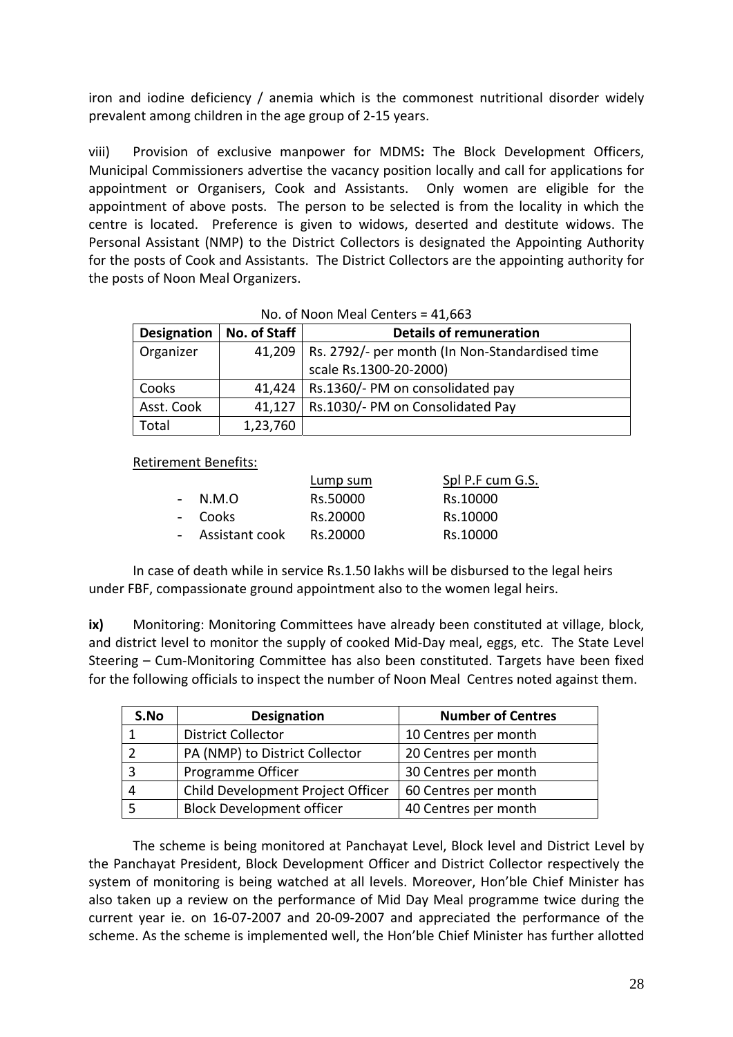iron and iodine deficiency / anemia which is the commonest nutritional disorder widely prevalent among children in the age group of 2‐15 years.

viii) Provision of exclusive manpower for MDMS**:** The Block Development Officers, Municipal Commissioners advertise the vacancy position locally and call for applications for appointment or Organisers, Cook and Assistants. Only women are eligible for the appointment of above posts. The person to be selected is from the locality in which the centre is located. Preference is given to widows, deserted and destitute widows. The Personal Assistant (NMP) to the District Collectors is designated the Appointing Authority for the posts of Cook and Assistants. The District Collectors are the appointing authority for the posts of Noon Meal Organizers.

|             | $NQ$ . OF NOON IVIE IN CENTERS = 41,003 |                                                         |  |  |  |
|-------------|-----------------------------------------|---------------------------------------------------------|--|--|--|
| Designation | No. of Staff                            | <b>Details of remuneration</b>                          |  |  |  |
| Organizer   |                                         | 41,209   Rs. 2792/- per month (In Non-Standardised time |  |  |  |
|             |                                         | scale Rs.1300-20-2000)                                  |  |  |  |
| Cooks       |                                         | 41,424   Rs.1360/- PM on consolidated pay               |  |  |  |
| Asst. Cook  | 41,127                                  | Rs.1030/- PM on Consolidated Pay                        |  |  |  |
| Total       | 1,23,760                                |                                                         |  |  |  |

 $No. of Mean Mach Contors = 41,663$ 

Retirement Benefits:

|                  | Lump sum | Spl P.F cum G.S. |
|------------------|----------|------------------|
| $- N.M.O$        | Rs.50000 | Rs.10000         |
| - Cooks          | Rs.20000 | Rs.10000         |
| - Assistant cook | Rs.20000 | Rs.10000         |

In case of death while in service Rs.1.50 lakhs will be disbursed to the legal heirs under FBF, compassionate ground appointment also to the women legal heirs.

**ix)** Monitoring: Monitoring Committees have already been constituted at village, block, and district level to monitor the supply of cooked Mid-Day meal, eggs, etc. The State Level Steering – Cum‐Monitoring Committee has also been constituted. Targets have been fixed for the following officials to inspect the number of Noon Meal Centres noted against them.

| S.No | <b>Designation</b>                | <b>Number of Centres</b> |
|------|-----------------------------------|--------------------------|
|      | <b>District Collector</b>         | 10 Centres per month     |
|      | PA (NMP) to District Collector    | 20 Centres per month     |
|      | Programme Officer                 | 30 Centres per month     |
|      | Child Development Project Officer | 60 Centres per month     |
|      | <b>Block Development officer</b>  | 40 Centres per month     |

The scheme is being monitored at Panchayat Level, Block level and District Level by the Panchayat President, Block Development Officer and District Collector respectively the system of monitoring is being watched at all levels. Moreover, Hon'ble Chief Minister has also taken up a review on the performance of Mid Day Meal programme twice during the current year ie. on 16‐07‐2007 and 20‐09‐2007 and appreciated the performance of the scheme. As the scheme is implemented well, the Hon'ble Chief Minister has further allotted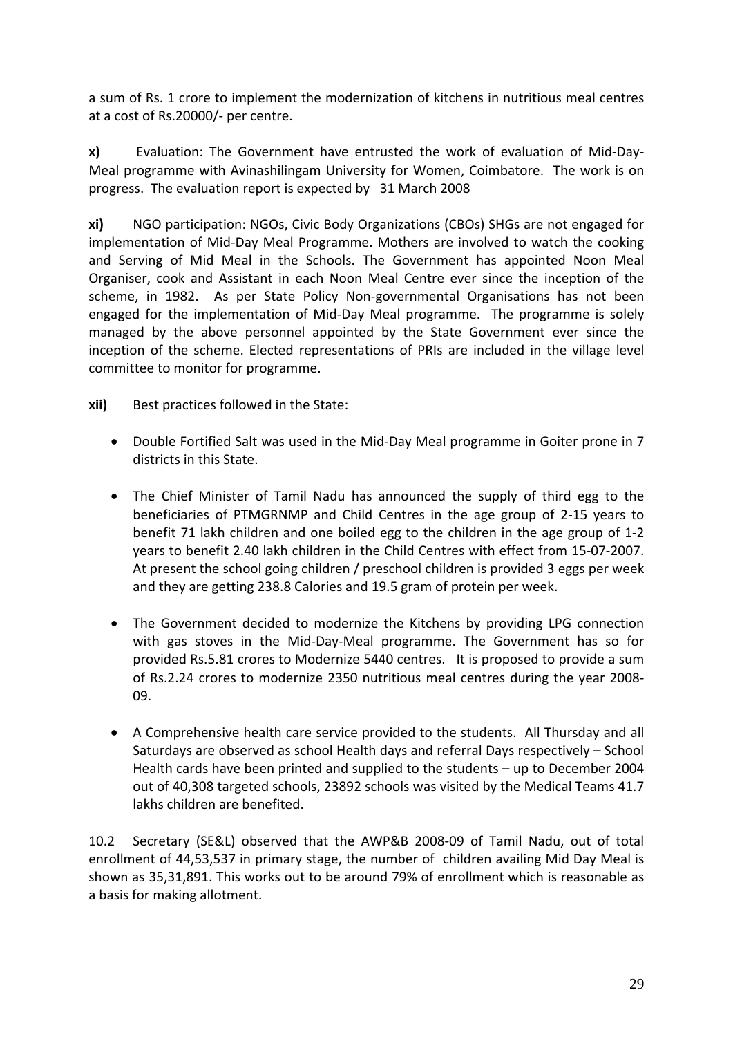a sum of Rs. 1 crore to implement the modernization of kitchens in nutritious meal centres at a cost of Rs.20000/‐ per centre.

**x)** Evaluation: The Government have entrusted the work of evaluation of Mid-Day-Meal programme with Avinashilingam University for Women, Coimbatore. The work is on progress. The evaluation report is expected by 31 March 2008

**xi)** NGO participation: NGOs, Civic Body Organizations (CBOs) SHGs are not engaged for implementation of Mid‐Day Meal Programme. Mothers are involved to watch the cooking and Serving of Mid Meal in the Schools. The Government has appointed Noon Meal Organiser, cook and Assistant in each Noon Meal Centre ever since the inception of the scheme, in 1982. As per State Policy Non-governmental Organisations has not been engaged for the implementation of Mid‐Day Meal programme. The programme is solely managed by the above personnel appointed by the State Government ever since the inception of the scheme. Elected representations of PRIs are included in the village level committee to monitor for programme.

**xii)** Best practices followed in the State:

- Double Fortified Salt was used in the Mid‐Day Meal programme in Goiter prone in 7 districts in this State.
- The Chief Minister of Tamil Nadu has announced the supply of third egg to the beneficiaries of PTMGRNMP and Child Centres in the age group of 2‐15 years to benefit 71 lakh children and one boiled egg to the children in the age group of 1‐2 years to benefit 2.40 lakh children in the Child Centres with effect from 15‐07‐2007. At present the school going children / preschool children is provided 3 eggs per week and they are getting 238.8 Calories and 19.5 gram of protein per week.
- The Government decided to modernize the Kitchens by providing LPG connection with gas stoves in the Mid‐Day‐Meal programme. The Government has so for provided Rs.5.81 crores to Modernize 5440 centres. It is proposed to provide a sum of Rs.2.24 crores to modernize 2350 nutritious meal centres during the year 2008‐ 09.
- A Comprehensive health care service provided to the students. All Thursday and all Saturdays are observed as school Health days and referral Days respectively – School Health cards have been printed and supplied to the students – up to December 2004 out of 40,308 targeted schools, 23892 schools was visited by the Medical Teams 41.7 lakhs children are benefited.

10.2 Secretary (SE&L) observed that the AWP&B 2008‐09 of Tamil Nadu, out of total enrollment of 44,53,537 in primary stage, the number of children availing Mid Day Meal is shown as 35,31,891. This works out to be around 79% of enrollment which is reasonable as a basis for making allotment.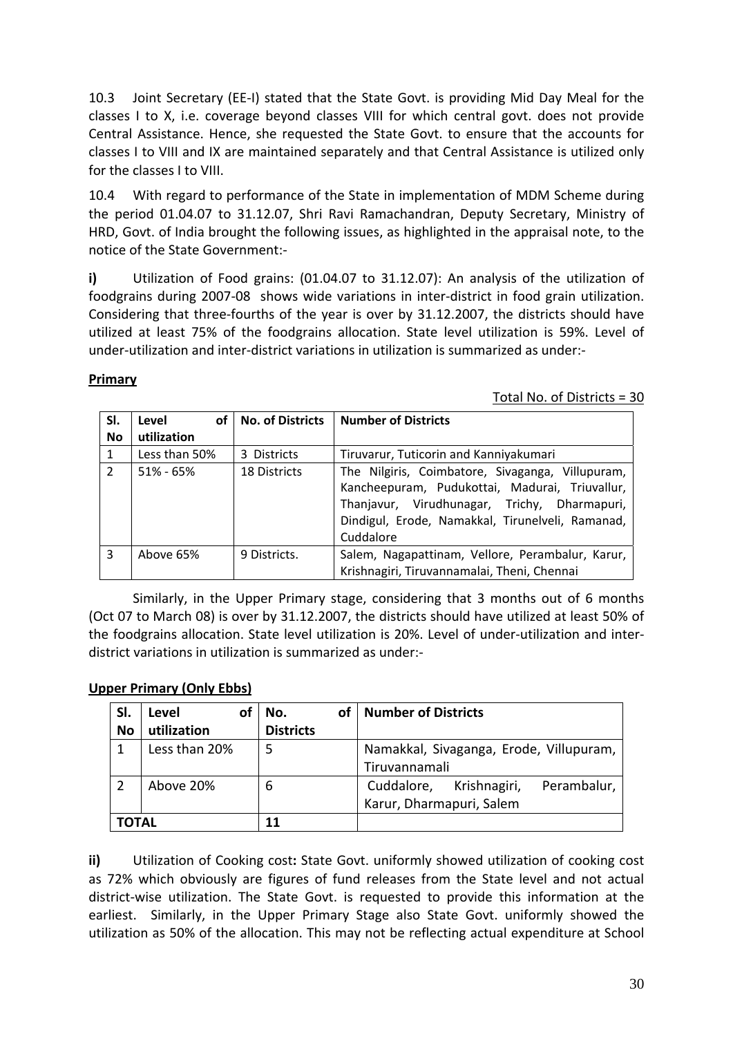10.3 Joint Secretary (EE‐I) stated that the State Govt. is providing Mid Day Meal for the classes I to X, i.e. coverage beyond classes VIII for which central govt. does not provide Central Assistance. Hence, she requested the State Govt. to ensure that the accounts for classes I to VIII and IX are maintained separately and that Central Assistance is utilized only for the classes I to VIII.

10.4 With regard to performance of the State in implementation of MDM Scheme during the period 01.04.07 to 31.12.07, Shri Ravi Ramachandran, Deputy Secretary, Ministry of HRD, Govt. of India brought the following issues, as highlighted in the appraisal note, to the notice of the State Government:‐ 

**i)** Utilization of Food grains: (01.04.07 to 31.12.07): An analysis of the utilization of foodgrains during 2007‐08 shows wide variations in inter‐district in food grain utilization. Considering that three‐fourths of the year is over by 31.12.2007, the districts should have utilized at least 75% of the foodgrains allocation. State level utilization is 59%. Level of under‐utilization and inter‐district variations in utilization is summarized as under:‐

### **Primary**

Total No. of Districts = 30

| SI.           | οf<br>Level   | No. of Districts | <b>Number of Districts</b>                                                                                                                                                                                          |
|---------------|---------------|------------------|---------------------------------------------------------------------------------------------------------------------------------------------------------------------------------------------------------------------|
| No            | utilization   |                  |                                                                                                                                                                                                                     |
|               | Less than 50% | 3 Districts      | Tiruvarur, Tuticorin and Kanniyakumari                                                                                                                                                                              |
| $\mathcal{P}$ | $51\% - 65\%$ | 18 Districts     | The Nilgiris, Coimbatore, Sivaganga, Villupuram,<br>Kancheepuram, Pudukottai, Madurai, Triuvallur,<br>Thanjavur, Virudhunagar, Trichy, Dharmapuri,<br>Dindigul, Erode, Namakkal, Tirunelveli, Ramanad,<br>Cuddalore |
| 3             | Above 65%     | 9 Districts.     | Salem, Nagapattinam, Vellore, Perambalur, Karur,<br>Krishnagiri, Tiruvannamalai, Theni, Chennai                                                                                                                     |

Similarly, in the Upper Primary stage, considering that 3 months out of 6 months (Oct 07 to March 08) is over by 31.12.2007, the districts should have utilized at least 50% of the foodgrains allocation. State level utilization is 20%. Level of under‐utilization and inter‐ district variations in utilization is summarized as under:‐

# **Upper Primary (Only Ebbs)**

| SI.         | Level<br>Οt   | No.<br>οf        | Number of Districts                       |  |
|-------------|---------------|------------------|-------------------------------------------|--|
| No          | utilization   | <b>Districts</b> |                                           |  |
|             | Less than 20% |                  | Namakkal, Sivaganga, Erode, Villupuram,   |  |
|             |               |                  | Tiruvannamali                             |  |
|             | Above 20%     | 6                | Perambalur,<br>Krishnagiri,<br>Cuddalore, |  |
|             |               |                  | Karur, Dharmapuri, Salem                  |  |
| ΤΟΤΑL<br>11 |               |                  |                                           |  |

**ii)** Utilization of Cooking cost**:** State Govt. uniformly showed utilization of cooking cost as 72% which obviously are figures of fund releases from the State level and not actual district‐wise utilization. The State Govt. is requested to provide this information at the earliest. Similarly, in the Upper Primary Stage also State Govt. uniformly showed the utilization as 50% of the allocation. This may not be reflecting actual expenditure at School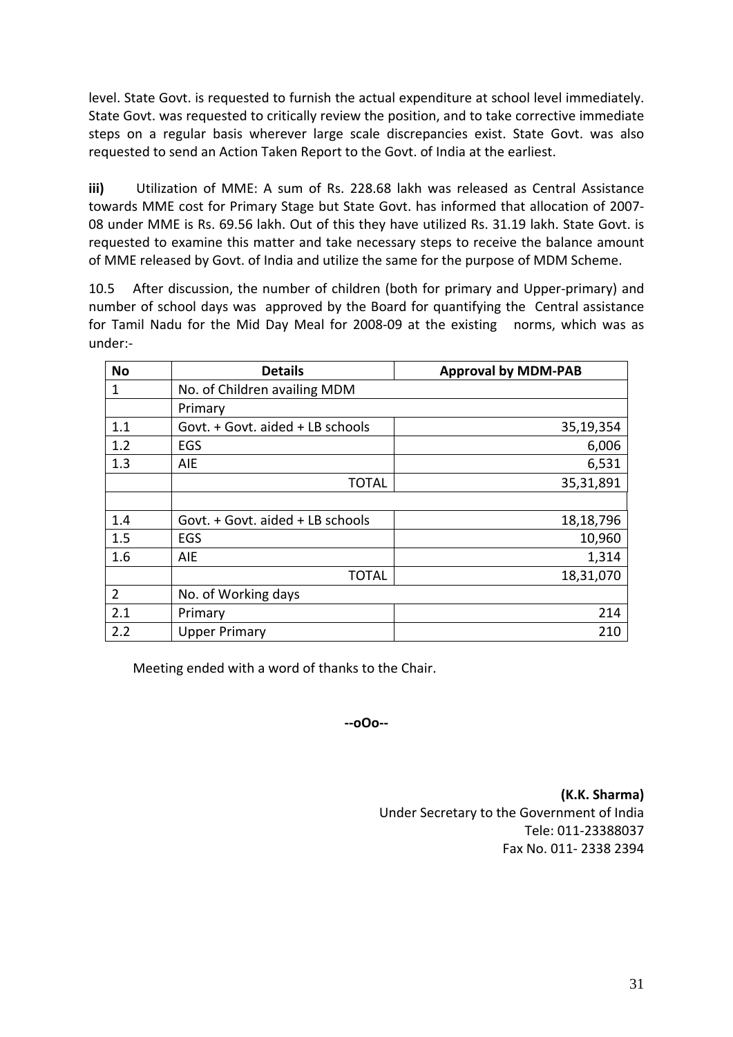level. State Govt. is requested to furnish the actual expenditure at school level immediately. State Govt. was requested to critically review the position, and to take corrective immediate steps on a regular basis wherever large scale discrepancies exist. State Govt. was also requested to send an Action Taken Report to the Govt. of India at the earliest.

**iii)** Utilization of MME: A sum of Rs. 228.68 lakh was released as Central Assistance towards MME cost for Primary Stage but State Govt. has informed that allocation of 2007‐ 08 under MME is Rs. 69.56 lakh. Out of this they have utilized Rs. 31.19 lakh. State Govt. is requested to examine this matter and take necessary steps to receive the balance amount of MME released by Govt. of India and utilize the same for the purpose of MDM Scheme.

10.5 After discussion, the number of children (both for primary and Upper‐primary) and number of school days was approved by the Board for quantifying the Central assistance for Tamil Nadu for the Mid Day Meal for 2008-09 at the existing norms, which was as under:‐

| <b>No</b>      | <b>Details</b>                   | <b>Approval by MDM-PAB</b> |
|----------------|----------------------------------|----------------------------|
| 1              | No. of Children availing MDM     |                            |
|                | Primary                          |                            |
| 1.1            | Govt. + Govt. aided + LB schools | 35,19,354                  |
| 1.2            | EGS                              | 6,006                      |
| 1.3            | AIE                              | 6,531                      |
|                | <b>TOTAL</b>                     | 35,31,891                  |
|                |                                  |                            |
| 1.4            | Govt. + Govt. aided + LB schools | 18,18,796                  |
| 1.5            | EGS                              | 10,960                     |
| 1.6            | AIE                              | 1,314                      |
|                | <b>TOTAL</b>                     | 18,31,070                  |
| $\overline{2}$ | No. of Working days              |                            |
| 2.1            | Primary                          | 214                        |
| 2.2            | <b>Upper Primary</b>             | 210                        |

Meeting ended with a word of thanks to the Chair.

**‐‐oOo‐‐** 

**(K.K. Sharma)** Under Secretary to the Government of India Tele: 011‐23388037 Fax No. 011‐ 2338 2394